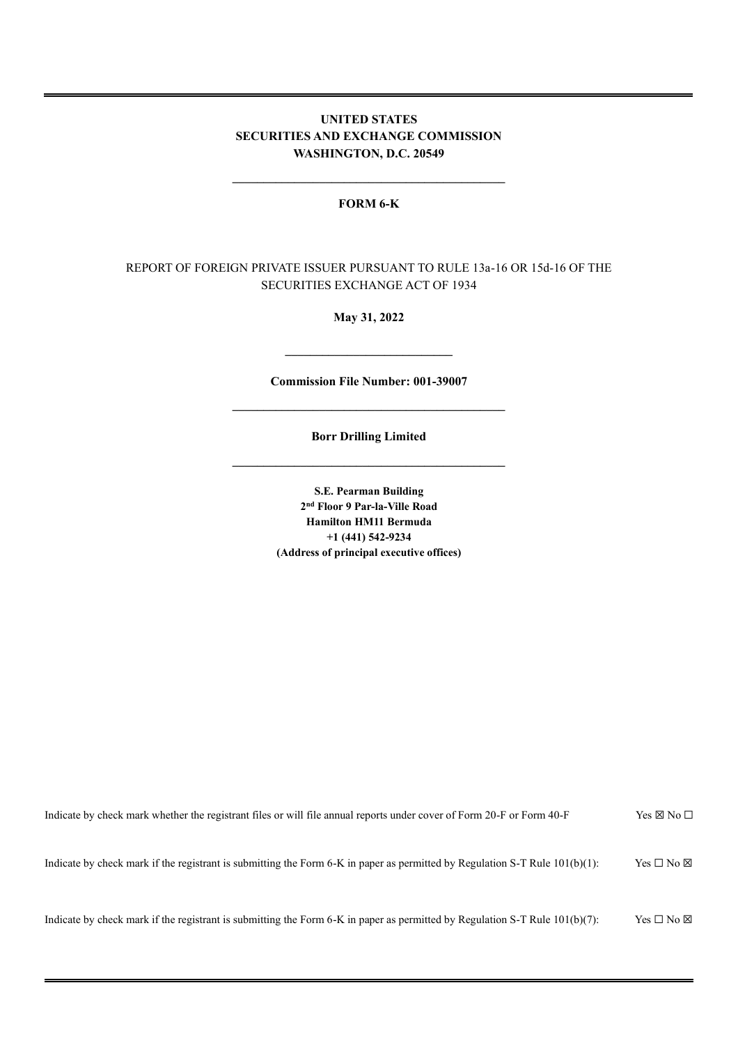## **UNITED STATES SECURITIES AND EXCHANGE COMMISSION WASHINGTON, D.C. 20549**

## **FORM 6-K**

**\_\_\_\_\_\_\_\_\_\_\_\_\_\_\_\_\_\_\_\_\_\_\_\_\_\_\_\_\_\_\_\_\_\_\_\_\_\_\_\_\_\_\_\_**

## REPORT OF FOREIGN PRIVATE ISSUER PURSUANT TO RULE 13a-16 OR 15d-16 OF THE SECURITIES EXCHANGE ACT OF 1934

**May 31, 2022**

**Commission File Number: 001-39007 \_\_\_\_\_\_\_\_\_\_\_\_\_\_\_\_\_\_\_\_\_\_\_\_\_\_\_\_\_\_\_\_\_\_\_\_\_\_\_\_\_\_\_\_**

**\_\_\_\_\_\_\_\_\_\_\_\_\_\_\_\_\_\_\_\_\_\_\_\_\_\_\_**

**Borr Drilling Limited \_\_\_\_\_\_\_\_\_\_\_\_\_\_\_\_\_\_\_\_\_\_\_\_\_\_\_\_\_\_\_\_\_\_\_\_\_\_\_\_\_\_\_\_**

> **S.E. Pearman Building 2 nd Floor 9 Par-la-Ville Road Hamilton HM11 Bermuda +1 (441) 542-9234 (Address of principal executive offices)**

| Indicate by check mark whether the registrant files or will file annual reports under cover of Form 20-F or Form 40-F          | Yes $\boxtimes$ No $\Box$  |
|--------------------------------------------------------------------------------------------------------------------------------|----------------------------|
| Indicate by check mark if the registrant is submitting the Form 6-K in paper as permitted by Regulation S-T Rule $101(b)(1)$ : | Yes $\square$ No $\square$ |
| Indicate by check mark if the registrant is submitting the Form 6-K in paper as permitted by Regulation S-T Rule $101(b)(7)$ : | Yes $\square$ No $\square$ |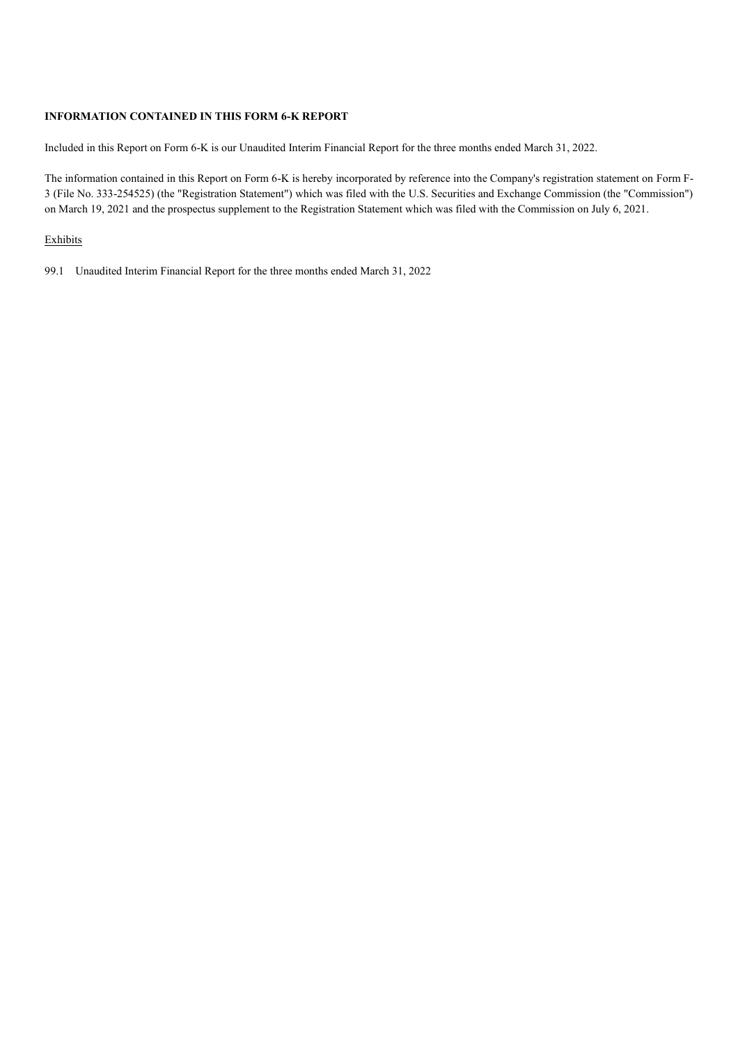## **INFORMATION CONTAINED IN THIS FORM 6-K REPORT**

Included in this Report on Form 6-K is our Unaudited Interim Financial Report for the three months ended March 31, 2022.

The information contained in this Report on Form 6-K is hereby incorporated by reference into the Company's registration statement on Form F-3 (File No. 333-254525) (the "Registration Statement") which was filed with the U.S. Securities and Exchange Commission (the "Commission") on March 19, 2021 and the prospectus supplement to the Registration Statement which was filed with the Commission on July 6, 2021.

## Exhibits

99.1 Unaudited Interim Financial Report for the three months ended March 31, 2022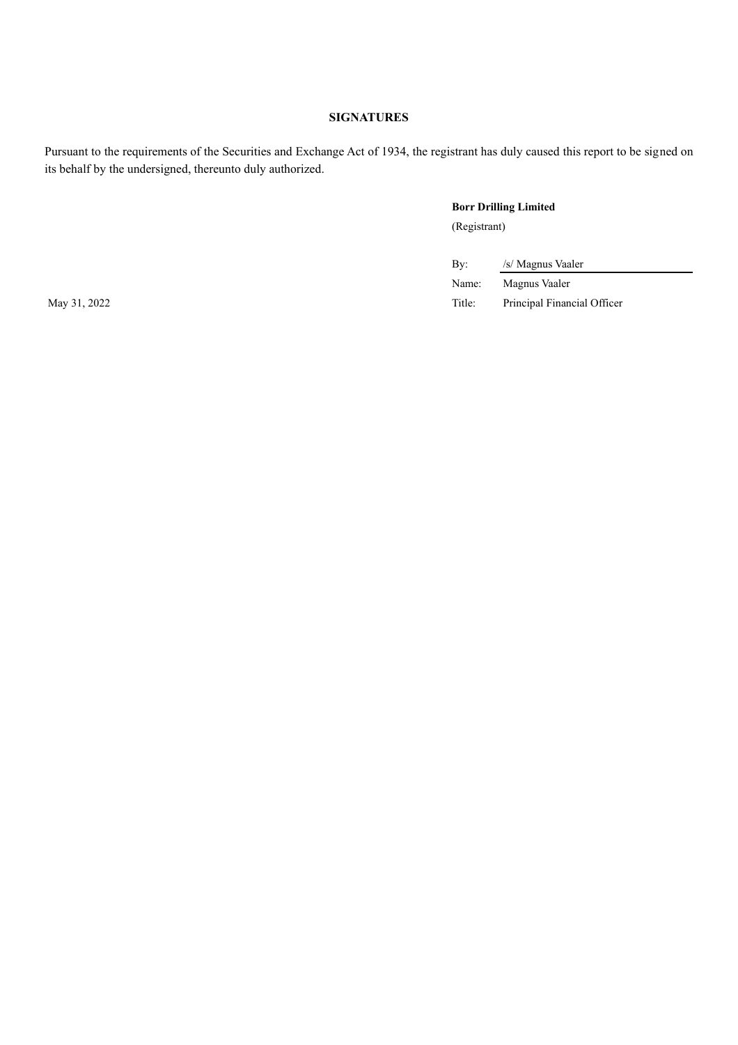## **SIGNATURES**

Pursuant to the requirements of the Securities and Exchange Act of 1934, the registrant has duly caused this report to be signed on its behalf by the undersigned, thereunto duly authorized.

## **Borr Drilling Limited** (Registrant)

By: /s/ Magnus Vaaler

Name: Magnus Vaaler May 31, 2022 Title: Principal Financial Officer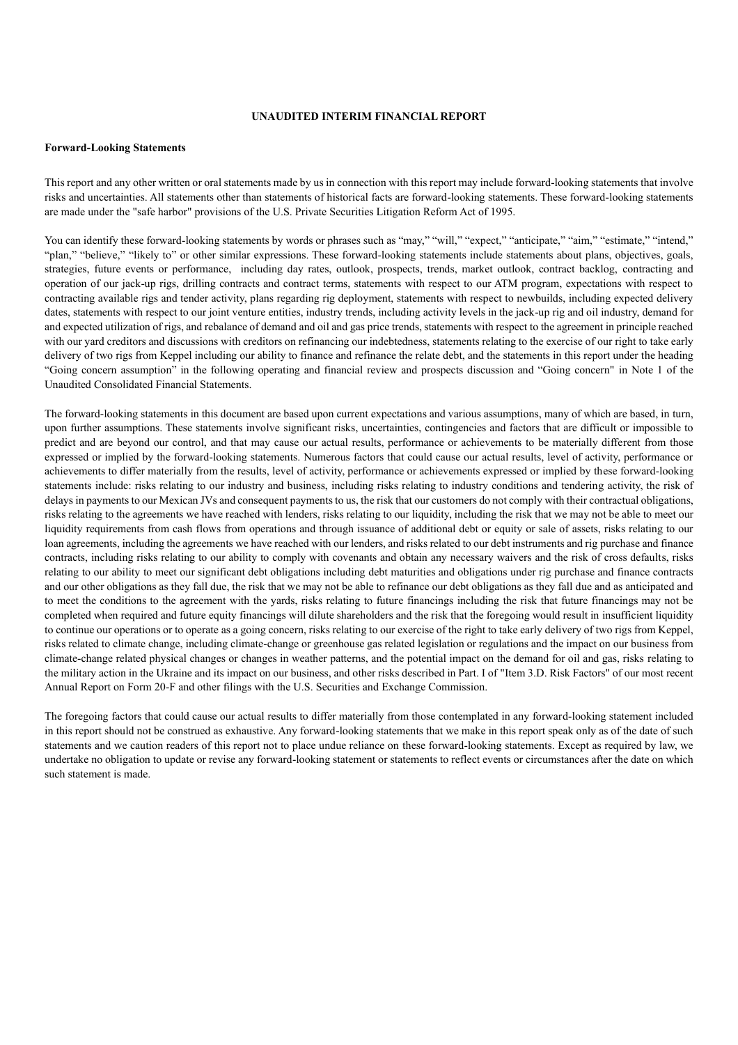## **UNAUDITED INTERIM FINANCIAL REPORT**

#### **Forward-Looking Statements**

This report and any other written or oral statements made by us in connection with this report may include forward-looking statements that involve risks and uncertainties. All statements other than statements of historical facts are forward-looking statements. These forward-looking statements are made under the "safe harbor" provisions of the U.S. Private Securities Litigation Reform Act of 1995.

You can identify these forward-looking statements by words or phrases such as "may," "will," "expect," "anticipate," "aim," "estimate," "intend," "plan," "believe," "likely to" or other similar expressions. These forward-looking statements include statements about plans, objectives, goals, strategies, future events or performance, including day rates, outlook, prospects, trends, market outlook, contract backlog, contracting and operation of our jack-up rigs, drilling contracts and contract terms, statements with respect to our ATM program, expectations with respect to contracting available rigs and tender activity, plans regarding rig deployment, statements with respect to newbuilds, including expected delivery dates, statements with respect to our joint venture entities, industry trends, including activity levels in the jack-up rig and oil industry, demand for and expected utilization of rigs, and rebalance of demand and oil and gas price trends, statements with respect to the agreement in principle reached with our yard creditors and discussions with creditors on refinancing our indebtedness, statements relating to the exercise of our right to take early delivery of two rigs from Keppel including our ability to finance and refinance the relate debt, and the statements in this report under the heading "Going concern assumption" in the following operating and financial review and prospects discussion and "Going concern" in Note 1 of the Unaudited Consolidated Financial Statements.

The forward-looking statements in this document are based upon current expectations and various assumptions, many of which are based, in turn, upon further assumptions. These statements involve significant risks, uncertainties, contingencies and factors that are difficult or impossible to predict and are beyond our control, and that may cause our actual results, performance or achievements to be materially different from those expressed or implied by the forward-looking statements. Numerous factors that could cause our actual results, level of activity, performance or achievements to differ materially from the results, level of activity, performance or achievements expressed or implied by these forward-looking statements include: risks relating to our industry and business, including risks relating to industry conditions and tendering activity, the risk of delays in payments to our Mexican JVs and consequent payments to us, the risk that our customers do not comply with their contractual obligations, risks relating to the agreements we have reached with lenders, risks relating to our liquidity, including the risk that we may not be able to meet our liquidity requirements from cash flows from operations and through issuance of additional debt or equity or sale of assets, risks relating to our loan agreements, including the agreements we have reached with our lenders, and risks related to our debt instruments and rig purchase and finance contracts, including risks relating to our ability to comply with covenants and obtain any necessary waivers and the risk of cross defaults, risks relating to our ability to meet our significant debt obligations including debt maturities and obligations under rig purchase and finance contracts and our other obligations as they fall due, the risk that we may not be able to refinance our debt obligations as they fall due and as anticipated and to meet the conditions to the agreement with the yards, risks relating to future financings including the risk that future financings may not be completed when required and future equity financings will dilute shareholders and the risk that the foregoing would result in insufficient liquidity to continue our operations or to operate as a going concern, risks relating to our exercise of the right to take early delivery of two rigs from Keppel, risks related to climate change, including climate-change or greenhouse gas related legislation or regulations and the impact on our business from climate-change related physical changes or changes in weather patterns, and the potential impact on the demand for oil and gas, risks relating to the military action in the Ukraine and its impact on our business, and other risks described in Part. I of "Item 3.D. Risk Factors" of our most recent Annual Report on Form 20-F and other filings with the U.S. Securities and Exchange Commission.

The foregoing factors that could cause our actual results to differ materially from those contemplated in any forward-looking statement included in this report should not be construed as exhaustive. Any forward-looking statements that we make in this report speak only as of the date of such statements and we caution readers of this report not to place undue reliance on these forward-looking statements. Except as required by law, we undertake no obligation to update or revise any forward-looking statement or statements to reflect events or circumstances after the date on which such statement is made.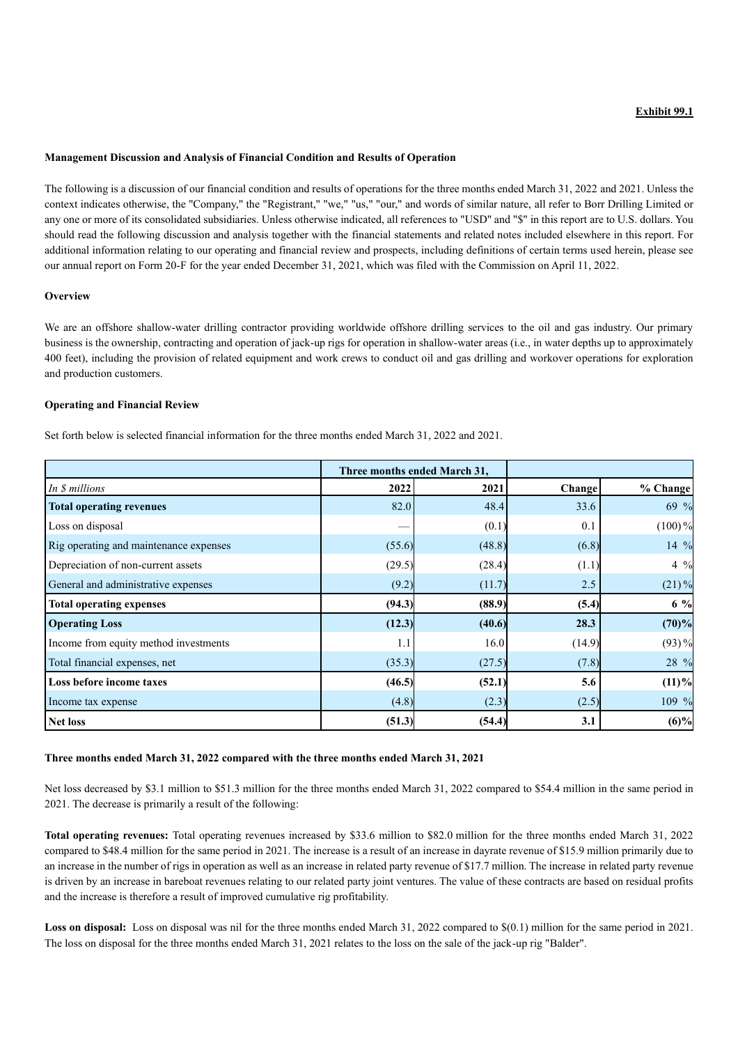## **Exhibit 99.1**

#### **Management Discussion and Analysis of Financial Condition and Results of Operation**

The following is a discussion of our financial condition and results of operations for the three months ended March 31, 2022 and 2021. Unless the context indicates otherwise, the "Company," the "Registrant," "we," "us," "our," and words of similar nature, all refer to Borr Drilling Limited or any one or more of its consolidated subsidiaries. Unless otherwise indicated, all references to "USD" and "\$" in this report are to U.S. dollars. You should read the following discussion and analysis together with the financial statements and related notes included elsewhere in this report. For additional information relating to our operating and financial review and prospects, including definitions of certain terms used herein, please see our annual report on Form 20-F for the year ended December 31, 2021, which was filed with the Commission on April 11, 2022.

## **Overview**

We are an offshore shallow-water drilling contractor providing worldwide offshore drilling services to the oil and gas industry. Our primary business is the ownership, contracting and operation of jack-up rigs for operation in shallow-water areas (i.e., in water depths up to approximately 400 feet), including the provision of related equipment and work crews to conduct oil and gas drilling and workover operations for exploration and production customers.

## **Operating and Financial Review**

Set forth below is selected financial information for the three months ended March 31, 2022 and 2021.

|                                        |        | Three months ended March 31, |        |                 |
|----------------------------------------|--------|------------------------------|--------|-----------------|
| In \$ millions                         | 2022   | 2021                         | Change | % Change        |
| <b>Total operating revenues</b>        | 82.0   | 48.4                         | 33.6   | 69 %            |
| Loss on disposal                       |        | (0.1)                        | 0.1    | $(100)\%$       |
| Rig operating and maintenance expenses | (55.6) | (48.8)                       | (6.8)  | $14\frac{9}{6}$ |
| Depreciation of non-current assets     | (29.5) | (28.4)                       | (1.1)  | $4\frac{9}{6}$  |
| General and administrative expenses    | (9.2)  | (11.7)                       | 2.5    | $(21)\%$        |
| <b>Total operating expenses</b>        | (94.3) | (88.9)                       | (5.4)  | $6\%$           |
| <b>Operating Loss</b>                  | (12.3) | (40.6)                       | 28.3   | (70)%           |
| Income from equity method investments  | 1.1    | 16.0                         | (14.9) | $(93) \%$       |
| Total financial expenses, net          | (35.3) | (27.5)                       | (7.8)  | 28 %            |
| Loss before income taxes               | (46.5) | (52.1)                       | 5.6    | $(11)\%$        |
| Income tax expense                     | (4.8)  | (2.3)                        | (2.5)  | 109 %           |
| <b>Net loss</b>                        | (51.3) | (54.4)                       | 3.1    | $(6)\%$         |

#### **Three months ended March 31, 2022 compared with the three months ended March 31, 2021**

Net loss decreased by \$3.1 million to \$51.3 million for the three months ended March 31, 2022 compared to \$54.4 million in the same period in 2021. The decrease is primarily a result of the following:

**Total operating revenues:** Total operating revenues increased by \$33.6 million to \$82.0 million for the three months ended March 31, 2022 compared to \$48.4 million for the same period in 2021. The increase is a result of an increase in dayrate revenue of \$15.9 million primarily due to an increase in the number of rigs in operation as well as an increase in related party revenue of \$17.7 million. The increase in related party revenue is driven by an increase in bareboat revenues relating to our related party joint ventures. The value of these contracts are based on residual profits and the increase is therefore a result of improved cumulative rig profitability.

Loss on disposal: Loss on disposal was nil for the three months ended March 31, 2022 compared to  $\$(0.1)$  million for the same period in 2021. The loss on disposal for the three months ended March 31, 2021 relates to the loss on the sale of the jack-up rig "Balder".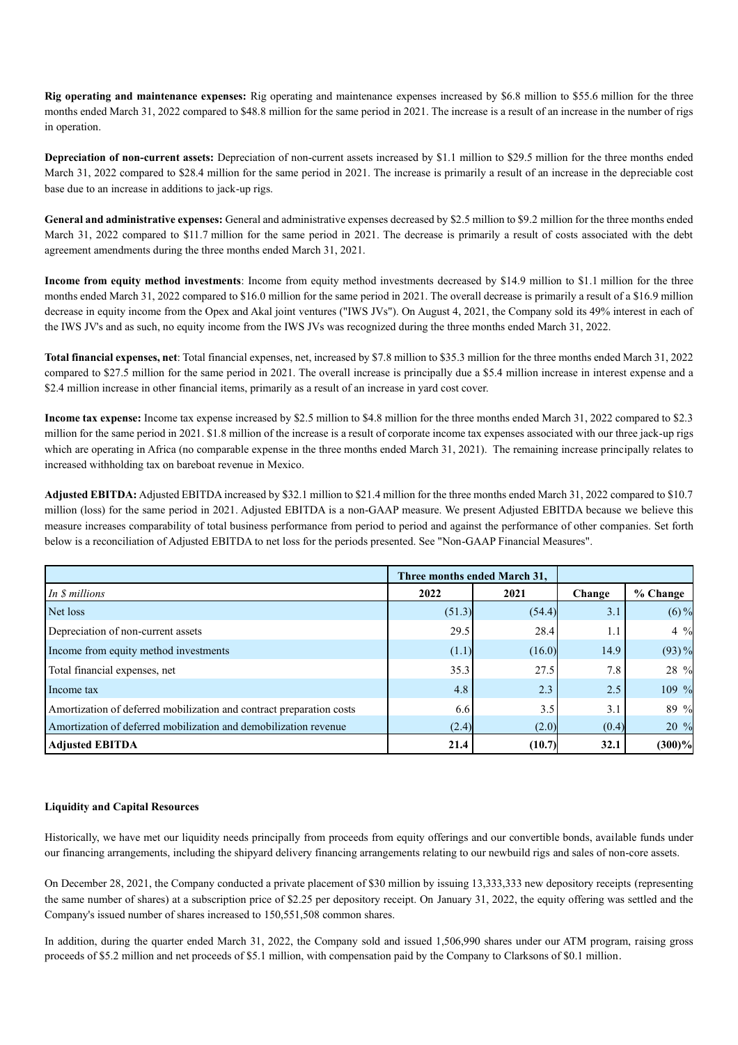**Rig operating and maintenance expenses:** Rig operating and maintenance expenses increased by \$6.8 million to \$55.6 million for the three months ended March 31, 2022 compared to \$48.8 million for the same period in 2021. The increase is a result of an increase in the number of rigs in operation.

**Depreciation of non-current assets:** Depreciation of non-current assets increased by \$1.1 million to \$29.5 million for the three months ended March 31, 2022 compared to \$28.4 million for the same period in 2021. The increase is primarily a result of an increase in the depreciable cost base due to an increase in additions to jack-up rigs.

**General and administrative expenses:** General and administrative expenses decreased by \$2.5 million to \$9.2 million for the three months ended March 31, 2022 compared to \$11.7 million for the same period in 2021. The decrease is primarily a result of costs associated with the debt agreement amendments during the three months ended March 31, 2021.

**Income from equity method investments**: Income from equity method investments decreased by \$14.9 million to \$1.1 million for the three months ended March 31, 2022 compared to \$16.0 million for the same period in 2021. The overall decrease is primarily a result of a \$16.9 million decrease in equity income from the Opex and Akal joint ventures ("IWS JVs"). On August 4, 2021, the Company sold its 49% interest in each of the IWS JV's and as such, no equity income from the IWS JVs was recognized during the three months ended March 31, 2022.

**Total financial expenses, net**: Total financial expenses, net, increased by \$7.8 million to \$35.3 million for the three months ended March 31, 2022 compared to \$27.5 million for the same period in 2021. The overall increase is principally due a \$5.4 million increase in interest expense and a \$2.4 million increase in other financial items, primarily as a result of an increase in yard cost cover.

**Income tax expense:** Income tax expense increased by \$2.5 million to \$4.8 million for the three months ended March 31, 2022 compared to \$2.3 million for the same period in 2021. \$1.8 million of the increase is a result of corporate income tax expenses associated with our three jack-up rigs which are operating in Africa (no comparable expense in the three months ended March 31, 2021). The remaining increase principally relates to increased withholding tax on bareboat revenue in Mexico.

**Adjusted EBITDA:** Adjusted EBITDA increased by \$32.1 million to \$21.4 million for the three months ended March 31, 2022 compared to \$10.7 million (loss) for the same period in 2021. Adjusted EBITDA is a non-GAAP measure. We present Adjusted EBITDA because we believe this measure increases comparability of total business performance from period to period and against the performance of other companies. Set forth below is a reconciliation of Adjusted EBITDA to net loss for the periods presented. See "Non-GAAP Financial Measures".

|                                                                      |        | Three months ended March 31, |        |                |
|----------------------------------------------------------------------|--------|------------------------------|--------|----------------|
| In \$ millions                                                       | 2022   | 2021                         | Change | % Change       |
| Net loss                                                             | (51.3) | (54.4)                       | 3.1    | $(6)$ %        |
| Depreciation of non-current assets                                   | 29.5   | 28.4                         | 1.1    | $4\frac{9}{6}$ |
| Income from equity method investments                                | (1.1)  | (16.0)                       | 14.9   | $(93) \%$      |
| Total financial expenses, net                                        | 35.3   | 27.5                         | 7.8    | 28 %           |
| Income tax                                                           | 4.8    | 2.3                          | 2.5    | 109 %          |
| Amortization of deferred mobilization and contract preparation costs | 6.6    | 3.5                          | 3.1    | 89 %           |
| Amortization of deferred mobilization and demobilization revenue     | (2.4)  | (2.0)                        | (0.4)  | 20 %           |
| <b>Adjusted EBITDA</b>                                               | 21.4   | (10.7)                       | 32.1   | $(300)\%$      |

## **Liquidity and Capital Resources**

Historically, we have met our liquidity needs principally from proceeds from equity offerings and our convertible bonds, available funds under our financing arrangements, including the shipyard delivery financing arrangements relating to our newbuild rigs and sales of non-core assets.

On December 28, 2021, the Company conducted a private placement of \$30 million by issuing 13,333,333 new depository receipts (representing the same number of shares) at a subscription price of \$2.25 per depository receipt. On January 31, 2022, the equity offering was settled and the Company's issued number of shares increased to 150,551,508 common shares.

In addition, during the quarter ended March 31, 2022, the Company sold and issued 1,506,990 shares under our ATM program, raising gross proceeds of \$5.2 million and net proceeds of \$5.1 million, with compensation paid by the Company to Clarksons of \$0.1 million.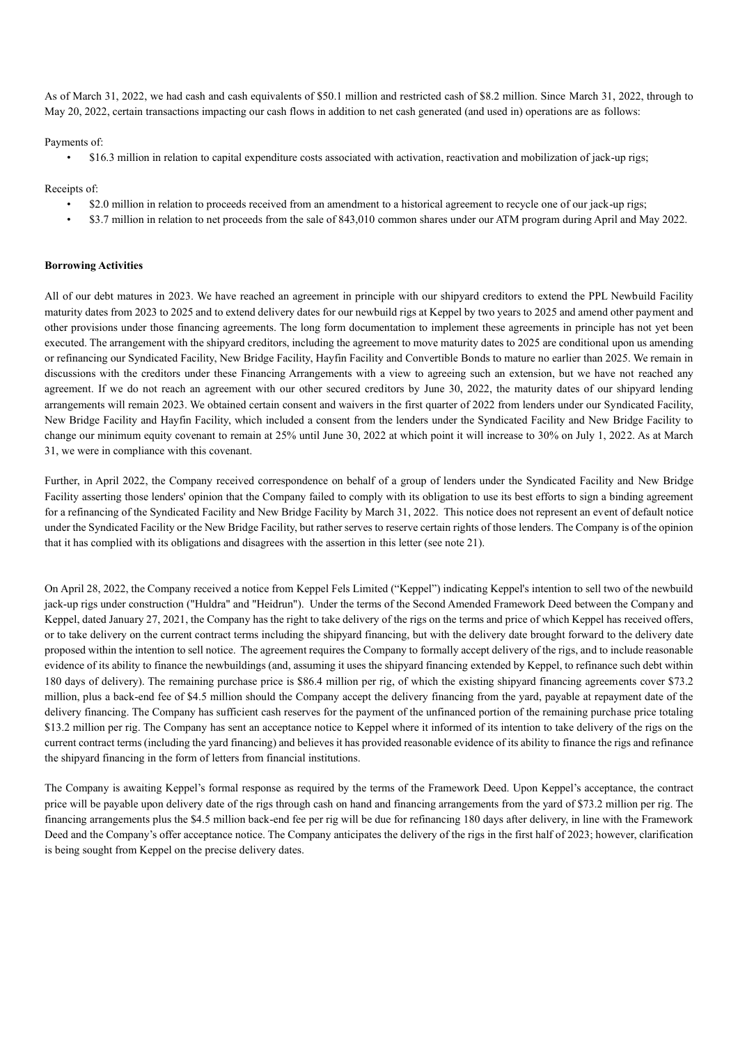As of March 31, 2022, we had cash and cash equivalents of \$50.1 million and restricted cash of \$8.2 million. Since March 31, 2022, through to May 20, 2022, certain transactions impacting our cash flows in addition to net cash generated (and used in) operations are as follows:

## Payments of:

• \$16.3 million in relation to capital expenditure costs associated with activation, reactivation and mobilization of jack-up rigs;

Receipts of:

- \$2.0 million in relation to proceeds received from an amendment to a historical agreement to recycle one of our jack-up rigs;
- \$3.7 million in relation to net proceeds from the sale of 843,010 common shares under our ATM program during April and May 2022.

#### **Borrowing Activities**

All of our debt matures in 2023. We have reached an agreement in principle with our shipyard creditors to extend the PPL Newbuild Facility maturity dates from 2023 to 2025 and to extend delivery dates for our newbuild rigs at Keppel by two years to 2025 and amend other payment and other provisions under those financing agreements. The long form documentation to implement these agreements in principle has not yet been executed. The arrangement with the shipyard creditors, including the agreement to move maturity dates to 2025 are conditional upon us amending or refinancing our Syndicated Facility, New Bridge Facility, Hayfin Facility and Convertible Bonds to mature no earlier than 2025. We remain in discussions with the creditors under these Financing Arrangements with a view to agreeing such an extension, but we have not reached any agreement. If we do not reach an agreement with our other secured creditors by June 30, 2022, the maturity dates of our shipyard lending arrangements will remain 2023. We obtained certain consent and waivers in the first quarter of 2022 from lenders under our Syndicated Facility, New Bridge Facility and Hayfin Facility, which included a consent from the lenders under the Syndicated Facility and New Bridge Facility to change our minimum equity covenant to remain at 25% until June 30, 2022 at which point it will increase to 30% on July 1, 2022. As at March 31, we were in compliance with this covenant.

Further, in April 2022, the Company received correspondence on behalf of a group of lenders under the Syndicated Facility and New Bridge Facility asserting those lenders' opinion that the Company failed to comply with its obligation to use its best efforts to sign a binding agreement for a refinancing of the Syndicated Facility and New Bridge Facility by March 31, 2022. This notice does not represent an event of default notice under the Syndicated Facility or the New Bridge Facility, but rather serves to reserve certain rights of those lenders. The Company is of the opinion that it has complied with its obligations and disagrees with the assertion in this letter (see note 21).

On April 28, 2022, the Company received a notice from Keppel Fels Limited ("Keppel") indicating Keppel's intention to sell two of the newbuild jack-up rigs under construction ("Huldra" and "Heidrun"). Under the terms of the Second Amended Framework Deed between the Company and Keppel, dated January 27, 2021, the Company has the right to take delivery of the rigs on the terms and price of which Keppel has received offers, or to take delivery on the current contract terms including the shipyard financing, but with the delivery date brought forward to the delivery date proposed within the intention to sell notice. The agreement requires the Company to formally accept delivery of the rigs, and to include reasonable evidence of its ability to finance the newbuildings (and, assuming it uses the shipyard financing extended by Keppel, to refinance such debt within 180 days of delivery). The remaining purchase price is \$86.4 million per rig, of which the existing shipyard financing agreements cover \$73.2 million, plus a back-end fee of \$4.5 million should the Company accept the delivery financing from the yard, payable at repayment date of the delivery financing. The Company has sufficient cash reserves for the payment of the unfinanced portion of the remaining purchase price totaling \$13.2 million per rig. The Company has sent an acceptance notice to Keppel where it informed of its intention to take delivery of the rigs on the current contract terms (including the yard financing) and believes it has provided reasonable evidence of its ability to finance the rigs and refinance the shipyard financing in the form of letters from financial institutions.

The Company is awaiting Keppel's formal response as required by the terms of the Framework Deed. Upon Keppel's acceptance, the contract price will be payable upon delivery date of the rigs through cash on hand and financing arrangements from the yard of \$73.2 million per rig. The financing arrangements plus the \$4.5 million back-end fee per rig will be due for refinancing 180 days after delivery, in line with the Framework Deed and the Company's offer acceptance notice. The Company anticipates the delivery of the rigs in the first half of 2023; however, clarification is being sought from Keppel on the precise delivery dates.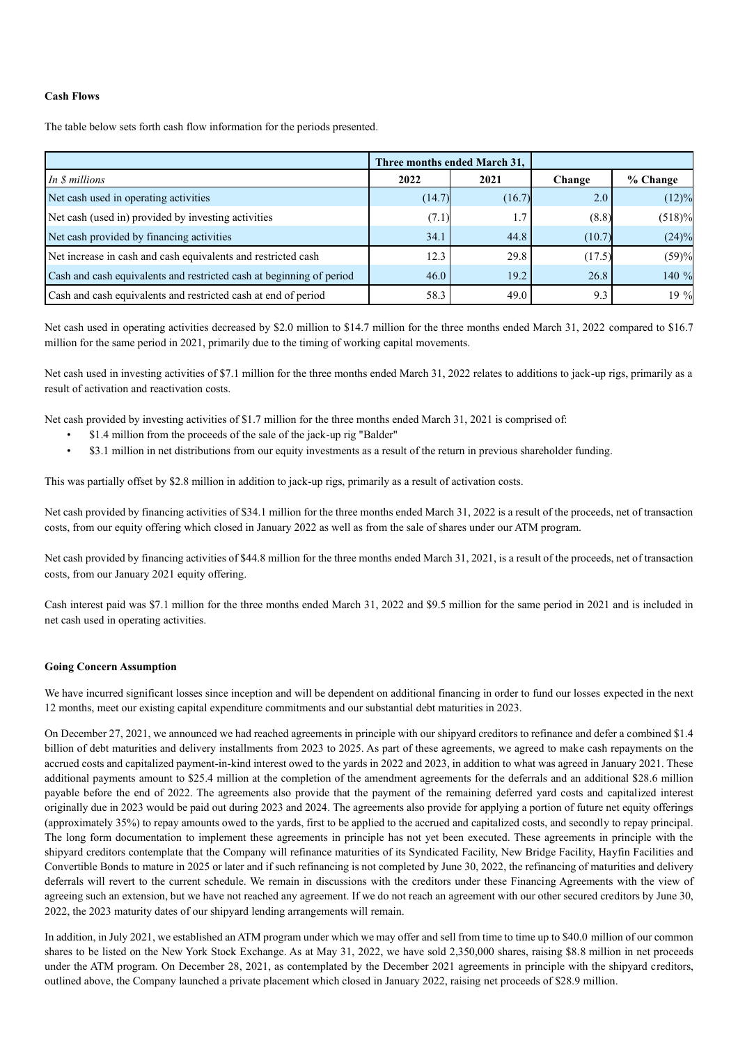## **Cash Flows**

The table below sets forth cash flow information for the periods presented.

|                                                                      |        | Three months ended March 31, |        |           |
|----------------------------------------------------------------------|--------|------------------------------|--------|-----------|
| In <i>\$</i> millions                                                | 2022   | 2021                         | Change | % Change  |
| Net cash used in operating activities                                | (14.7) | (16.7)                       | 2.0    | $(12)\%$  |
| Net cash (used in) provided by investing activities                  | (7.1)  | 1.7                          | (8.8)  | $(518)\%$ |
| Net cash provided by financing activities                            | 34.1   | 44.8                         | (10.7) | $(24)\%$  |
| Net increase in cash and cash equivalents and restricted cash        | 12.3   | 29.8                         | (17.5) | (59)%     |
| Cash and cash equivalents and restricted cash at beginning of period | 46.0   | 19.2                         | 26.8   | 140 %     |
| Cash and cash equivalents and restricted cash at end of period       | 58.3   | 49.0                         | 9.3    | 19 %      |

Net cash used in operating activities decreased by \$2.0 million to \$14.7 million for the three months ended March 31, 2022 compared to \$16.7 million for the same period in 2021, primarily due to the timing of working capital movements.

Net cash used in investing activities of \$7.1 million for the three months ended March 31, 2022 relates to additions to jack-up rigs, primarily as a result of activation and reactivation costs.

Net cash provided by investing activities of \$1.7 million for the three months ended March 31, 2021 is comprised of:

- \$1.4 million from the proceeds of the sale of the jack-up rig "Balder"
- \$3.1 million in net distributions from our equity investments as a result of the return in previous shareholder funding.

This was partially offset by \$2.8 million in addition to jack-up rigs, primarily as a result of activation costs.

Net cash provided by financing activities of \$34.1 million for the three months ended March 31, 2022 is a result of the proceeds, net of transaction costs, from our equity offering which closed in January 2022 as well as from the sale of shares under our ATM program.

Net cash provided by financing activities of \$44.8 million for the three months ended March 31, 2021, is a result of the proceeds, net of transaction costs, from our January 2021 equity offering.

Cash interest paid was \$7.1 million for the three months ended March 31, 2022 and \$9.5 million for the same period in 2021 and is included in net cash used in operating activities.

#### **Going Concern Assumption**

We have incurred significant losses since inception and will be dependent on additional financing in order to fund our losses expected in the next 12 months, meet our existing capital expenditure commitments and our substantial debt maturities in 2023.

On December 27, 2021, we announced we had reached agreements in principle with our shipyard creditors to refinance and defer a combined \$1.4 billion of debt maturities and delivery installments from 2023 to 2025. As part of these agreements, we agreed to make cash repayments on the accrued costs and capitalized payment-in-kind interest owed to the yards in 2022 and 2023, in addition to what was agreed in January 2021. These additional payments amount to \$25.4 million at the completion of the amendment agreements for the deferrals and an additional \$28.6 million payable before the end of 2022. The agreements also provide that the payment of the remaining deferred yard costs and capitalized interest originally due in 2023 would be paid out during 2023 and 2024. The agreements also provide for applying a portion of future net equity offerings (approximately 35%) to repay amounts owed to the yards, first to be applied to the accrued and capitalized costs, and secondly to repay principal. The long form documentation to implement these agreements in principle has not yet been executed. These agreements in principle with the shipyard creditors contemplate that the Company will refinance maturities of its Syndicated Facility, New Bridge Facility, Hayfin Facilities and Convertible Bonds to mature in 2025 or later and if such refinancing is not completed by June 30, 2022, the refinancing of maturities and delivery deferrals will revert to the current schedule. We remain in discussions with the creditors under these Financing Agreements with the view of agreeing such an extension, but we have not reached any agreement. If we do not reach an agreement with our other secured creditors by June 30, 2022, the 2023 maturity dates of our shipyard lending arrangements will remain.

In addition, in July 2021, we established an ATM program under which we may offer and sell from time to time up to \$40.0 million of our common shares to be listed on the New York Stock Exchange. As at May 31, 2022, we have sold 2,350,000 shares, raising \$8.8 million in net proceeds under the ATM program. On December 28, 2021, as contemplated by the December 2021 agreements in principle with the shipyard creditors, outlined above, the Company launched a private placement which closed in January 2022, raising net proceeds of \$28.9 million.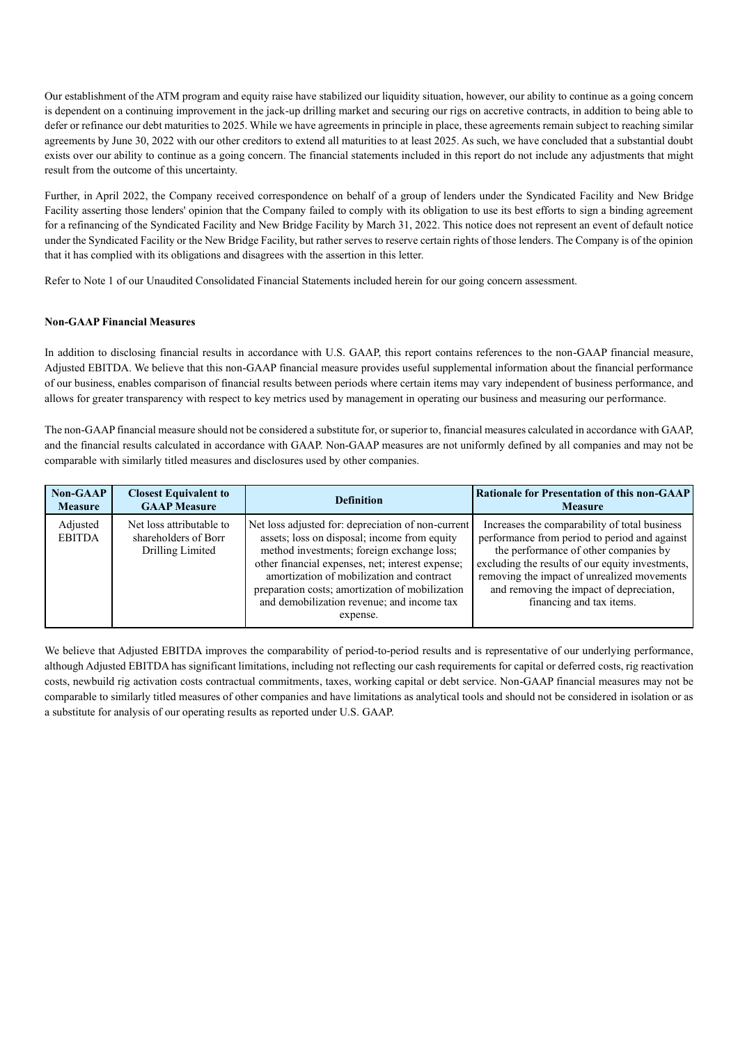Our establishment of the ATM program and equity raise have stabilized our liquidity situation, however, our ability to continue as a going concern is dependent on a continuing improvement in the jack-up drilling market and securing our rigs on accretive contracts, in addition to being able to defer or refinance our debt maturities to 2025. While we have agreements in principle in place, these agreements remain subject to reaching similar agreements by June 30, 2022 with our other creditors to extend all maturities to at least 2025. As such, we have concluded that a substantial doubt exists over our ability to continue as a going concern. The financial statements included in this report do not include any adjustments that might result from the outcome of this uncertainty.

Further, in April 2022, the Company received correspondence on behalf of a group of lenders under the Syndicated Facility and New Bridge Facility asserting those lenders' opinion that the Company failed to comply with its obligation to use its best efforts to sign a binding agreement for a refinancing of the Syndicated Facility and New Bridge Facility by March 31, 2022. This notice does not represent an event of default notice under the Syndicated Facility or the New Bridge Facility, but rather serves to reserve certain rights of those lenders. The Company is of the opinion that it has complied with its obligations and disagrees with the assertion in this letter.

Refer to Note 1 of our Unaudited Consolidated Financial Statements included herein for our going concern assessment.

## **Non-GAAP Financial Measures**

In addition to disclosing financial results in accordance with U.S. GAAP, this report contains references to the non-GAAP financial measure, Adjusted EBITDA. We believe that this non-GAAP financial measure provides useful supplemental information about the financial performance of our business, enables comparison of financial results between periods where certain items may vary independent of business performance, and allows for greater transparency with respect to key metrics used by management in operating our business and measuring our performance.

The non-GAAP financial measure should not be considered a substitute for, or superior to, financial measures calculated in accordance with GAAP, and the financial results calculated in accordance with GAAP. Non-GAAP measures are not uniformly defined by all companies and may not be comparable with similarly titled measures and disclosures used by other companies.

| <b>Non-GAAP</b>           | <b>Closest Equivalent to</b>                                         | <b>Definition</b>                                                                                                                                                                                                                                                                                                                                              | <b>Rationale for Presentation of this non-GAAP</b>                                                                                                                                                                                                                                                                 |
|---------------------------|----------------------------------------------------------------------|----------------------------------------------------------------------------------------------------------------------------------------------------------------------------------------------------------------------------------------------------------------------------------------------------------------------------------------------------------------|--------------------------------------------------------------------------------------------------------------------------------------------------------------------------------------------------------------------------------------------------------------------------------------------------------------------|
| <b>Measure</b>            | <b>GAAP</b> Measure                                                  |                                                                                                                                                                                                                                                                                                                                                                | <b>Measure</b>                                                                                                                                                                                                                                                                                                     |
| Adjusted<br><b>EBITDA</b> | Net loss attributable to<br>shareholders of Borr<br>Drilling Limited | Net loss adjusted for: depreciation of non-current<br>assets; loss on disposal; income from equity<br>method investments; foreign exchange loss;<br>other financial expenses, net; interest expense;<br>amortization of mobilization and contract<br>preparation costs; amortization of mobilization<br>and demobilization revenue; and income tax<br>expense. | Increases the comparability of total business<br>performance from period to period and against<br>the performance of other companies by<br>excluding the results of our equity investments,<br>removing the impact of unrealized movements<br>and removing the impact of depreciation,<br>financing and tax items. |

We believe that Adjusted EBITDA improves the comparability of period-to-period results and is representative of our underlying performance, although Adjusted EBITDA has significant limitations, including not reflecting our cash requirements for capital or deferred costs, rig reactivation costs, newbuild rig activation costs contractual commitments, taxes, working capital or debt service. Non-GAAP financial measures may not be comparable to similarly titled measures of other companies and have limitations as analytical tools and should not be considered in isolation or as a substitute for analysis of our operating results as reported under U.S. GAAP.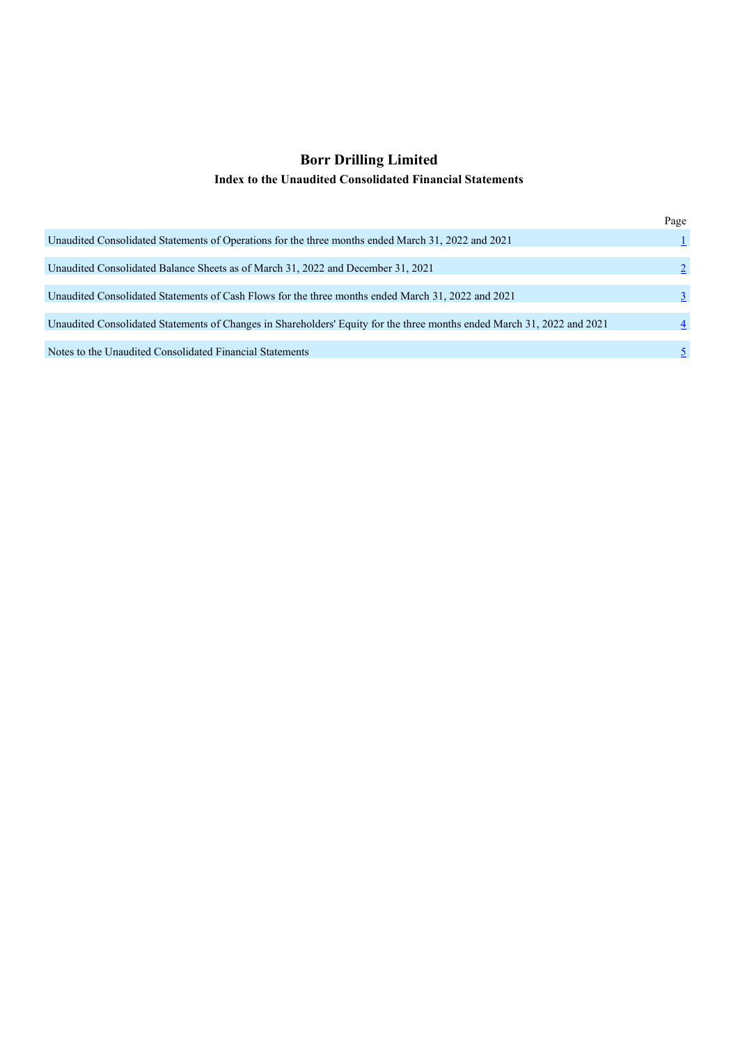# **Borr Drilling Limited Index to the Unaudited Consolidated Financial Statements**

|                                                                                                                         | Page           |
|-------------------------------------------------------------------------------------------------------------------------|----------------|
| Unaudited Consolidated Statements of Operations for the three months ended March 31, 2022 and 2021                      |                |
| Unaudited Consolidated Balance Sheets as of March 31, 2022 and December 31, 2021                                        |                |
| Unaudited Consolidated Statements of Cash Flows for the three months ended March 31, 2022 and 2021                      | 3              |
| Unaudited Consolidated Statements of Changes in Shareholders' Equity for the three months ended March 31, 2022 and 2021 | $\overline{4}$ |
| Notes to the Unaudited Consolidated Financial Statements                                                                |                |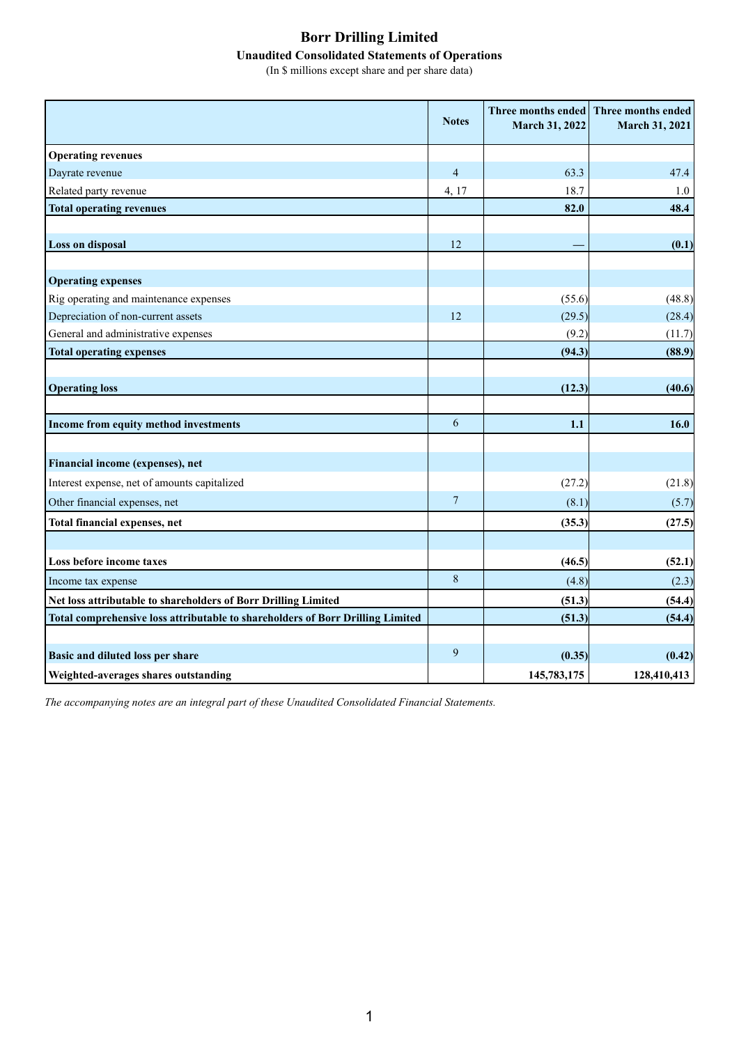# **Borr Drilling Limited Unaudited Consolidated Statements of Operations**

(In \$ millions except share and per share data)

|                                                                                | <b>Notes</b>   | <b>March 31, 2022</b> | Three months ended Three months ended<br>March 31, 2021 |
|--------------------------------------------------------------------------------|----------------|-----------------------|---------------------------------------------------------|
| <b>Operating revenues</b>                                                      |                |                       |                                                         |
| Dayrate revenue                                                                | $\overline{4}$ | 63.3                  | 47.4                                                    |
| Related party revenue                                                          | 4, 17          | 18.7                  | 1.0                                                     |
| <b>Total operating revenues</b>                                                |                | 82.0                  | 48.4                                                    |
| <b>Loss on disposal</b>                                                        | 12             |                       | (0.1)                                                   |
|                                                                                |                |                       |                                                         |
| <b>Operating expenses</b>                                                      |                |                       |                                                         |
| Rig operating and maintenance expenses                                         |                | (55.6)                | (48.8)                                                  |
| Depreciation of non-current assets                                             | 12             | (29.5)                | (28.4)                                                  |
| General and administrative expenses                                            |                | (9.2)                 | (11.7)                                                  |
| <b>Total operating expenses</b>                                                |                | (94.3)                | (88.9)                                                  |
|                                                                                |                |                       |                                                         |
| <b>Operating loss</b>                                                          |                | (12.3)                | (40.6)                                                  |
| Income from equity method investments                                          | 6              | 1.1                   | 16.0                                                    |
| Financial income (expenses), net                                               |                |                       |                                                         |
| Interest expense, net of amounts capitalized                                   |                | (27.2)                | (21.8)                                                  |
| Other financial expenses, net                                                  | $\overline{7}$ | (8.1)                 | (5.7)                                                   |
| Total financial expenses, net                                                  |                | (35.3)                | (27.5)                                                  |
|                                                                                |                |                       |                                                         |
| Loss before income taxes                                                       |                | (46.5)                | (52.1)                                                  |
| Income tax expense                                                             | $\,8\,$        | (4.8)                 | (2.3)                                                   |
| Net loss attributable to shareholders of Borr Drilling Limited                 |                | (51.3)                | (54.4)                                                  |
| Total comprehensive loss attributable to shareholders of Borr Drilling Limited |                | (51.3)                | (54.4)                                                  |
|                                                                                | 9              |                       |                                                         |
| Basic and diluted loss per share                                               |                | (0.35)                | (0.42)                                                  |
| Weighted-averages shares outstanding                                           |                | 145,783,175           | 128,410,413                                             |

*The accompanying notes are an integral part of these Unaudited Consolidated Financial Statements.*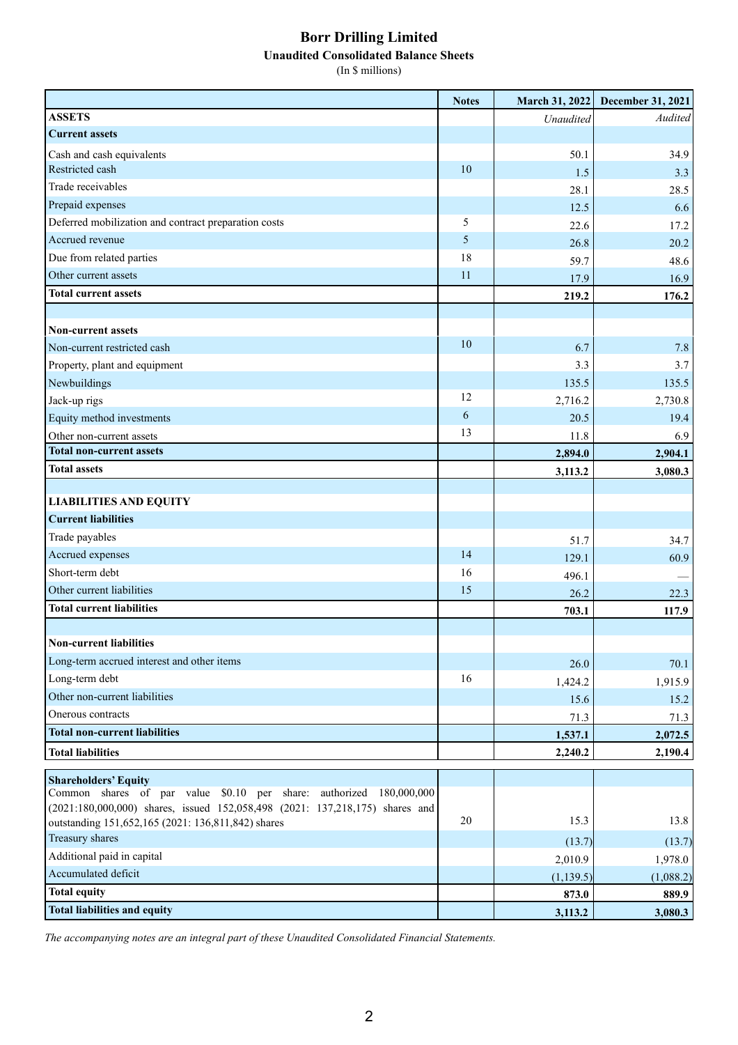# **Borr Drilling Limited**

**Unaudited Consolidated Balance Sheets**

(In \$ millions)

|                                                                              | <b>Notes</b> | March 31, 2022 | December 31, 2021 |
|------------------------------------------------------------------------------|--------------|----------------|-------------------|
| <b>ASSETS</b>                                                                |              | Unaudited      | Audited           |
| <b>Current assets</b>                                                        |              |                |                   |
| Cash and cash equivalents                                                    |              | 50.1           | 34.9              |
| Restricted cash                                                              | 10           | 1.5            | 3.3               |
| Trade receivables                                                            |              | 28.1           | 28.5              |
| Prepaid expenses                                                             |              | 12.5           | 6.6               |
| Deferred mobilization and contract preparation costs                         | 5            | 22.6           | 17.2              |
| Accrued revenue                                                              | 5            | 26.8           | 20.2              |
| Due from related parties                                                     | 18           | 59.7           | 48.6              |
| Other current assets                                                         | 11           | 17.9           | 16.9              |
| <b>Total current assets</b>                                                  |              | 219.2          | 176.2             |
|                                                                              |              |                |                   |
| <b>Non-current assets</b>                                                    |              |                |                   |
| Non-current restricted cash                                                  | 10           | 6.7            | 7.8               |
| Property, plant and equipment                                                |              | 3.3            | 3.7               |
| Newbuildings                                                                 |              | 135.5          | 135.5             |
| Jack-up rigs                                                                 | 12           | 2,716.2        | 2,730.8           |
| Equity method investments                                                    | 6            | 20.5           | 19.4              |
| Other non-current assets                                                     | 13           | 11.8           | 6.9               |
| <b>Total non-current assets</b>                                              |              | 2,894.0        | 2,904.1           |
| <b>Total assets</b>                                                          |              | 3,113.2        | 3,080.3           |
|                                                                              |              |                |                   |
| <b>LIABILITIES AND EQUITY</b>                                                |              |                |                   |
| <b>Current liabilities</b>                                                   |              |                |                   |
| Trade payables                                                               |              | 51.7           | 34.7              |
| Accrued expenses                                                             | 14           | 129.1          | 60.9              |
| Short-term debt                                                              | 16           | 496.1          |                   |
| Other current liabilities                                                    | 15           | 26.2           | 22.3              |
| <b>Total current liabilities</b>                                             |              | 703.1          | 117.9             |
|                                                                              |              |                |                   |
| <b>Non-current liabilities</b>                                               |              |                |                   |
| Long-term accrued interest and other items                                   |              | 26.0           | 70.1              |
| Long-term debt                                                               | 16           | 1,424.2        | 1,915.9           |
| Other non-current liabilities                                                |              | 15.6           | 15.2              |
| Onerous contracts                                                            |              | 71.3           | 71.3              |
| <b>Total non-current liabilities</b>                                         |              | 1,537.1        | 2,072.5           |
| <b>Total liabilities</b>                                                     |              |                |                   |
|                                                                              |              | 2,240.2        | 2,190.4           |
| <b>Shareholders' Equity</b>                                                  |              |                |                   |
| Common shares of par value \$0.10 per share: authorized 180,000,000          |              |                |                   |
| (2021:180,000,000) shares, issued 152,058,498 (2021: 137,218,175) shares and | 20           | 15.3           | 13.8              |
| outstanding 151,652,165 (2021: 136,811,842) shares<br>Treasury shares        |              |                |                   |
| Additional paid in capital                                                   |              | (13.7)         | (13.7)            |
| Accumulated deficit                                                          |              | 2,010.9        | 1,978.0           |
|                                                                              |              | (1, 139.5)     | (1,088.2)         |
| <b>Total equity</b>                                                          |              | 873.0          | 889.9             |
| <b>Total liabilities and equity</b>                                          |              | 3,113.2        | 3,080.3           |

*The accompanying notes are an integral part of these Unaudited Consolidated Financial Statements.*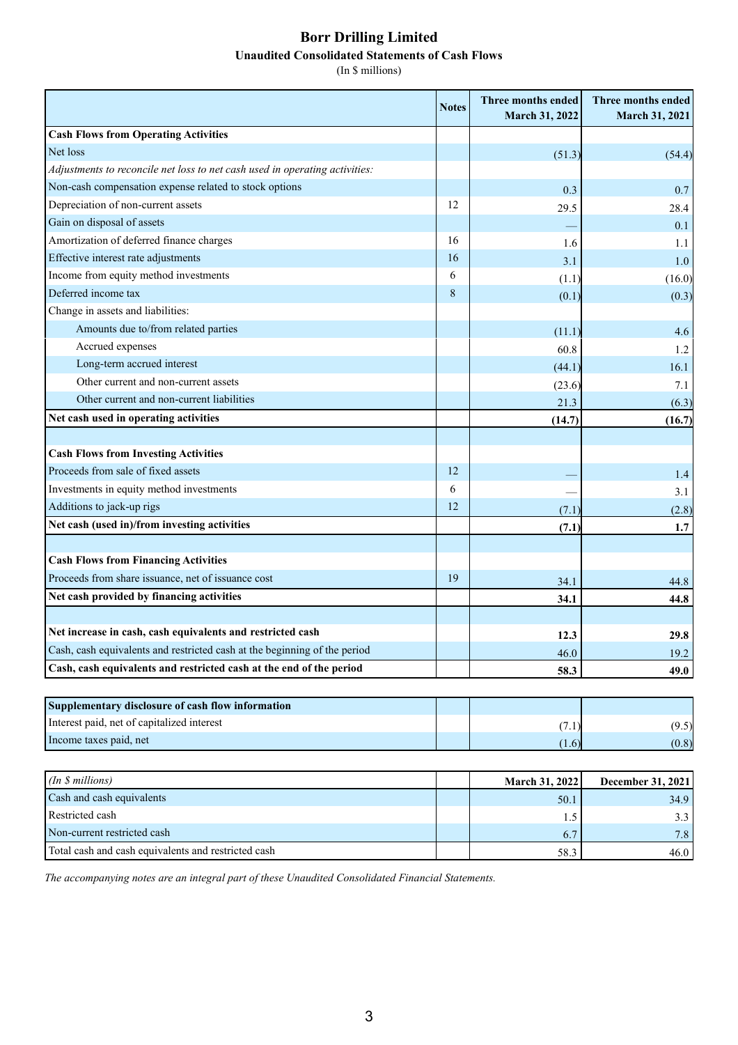# **Borr Drilling Limited Unaudited Consolidated Statements of Cash Flows**

(In \$ millions)

|                                                                             | <b>Notes</b> | Three months ended<br>March 31, 2022 | Three months ended<br>March 31, 2021 |
|-----------------------------------------------------------------------------|--------------|--------------------------------------|--------------------------------------|
| <b>Cash Flows from Operating Activities</b>                                 |              |                                      |                                      |
| Net loss                                                                    |              | (51.3)                               | (54.4)                               |
| Adjustments to reconcile net loss to net cash used in operating activities: |              |                                      |                                      |
| Non-cash compensation expense related to stock options                      |              | 0.3                                  | 0.7                                  |
| Depreciation of non-current assets                                          | 12           | 29.5                                 | 28.4                                 |
| Gain on disposal of assets                                                  |              |                                      | 0.1                                  |
| Amortization of deferred finance charges                                    | 16           | 1.6                                  | 1.1                                  |
| Effective interest rate adjustments                                         | 16           | 3.1                                  | 1.0                                  |
| Income from equity method investments                                       | 6            | (1.1)                                | (16.0)                               |
| Deferred income tax                                                         | 8            | (0.1)                                | (0.3)                                |
| Change in assets and liabilities:                                           |              |                                      |                                      |
| Amounts due to/from related parties                                         |              | (11.1)                               | 4.6                                  |
| Accrued expenses                                                            |              | 60.8                                 | 1.2                                  |
| Long-term accrued interest                                                  |              | (44.1)                               | 16.1                                 |
| Other current and non-current assets                                        |              | (23.6)                               | 7.1                                  |
| Other current and non-current liabilities                                   |              | 21.3                                 | (6.3)                                |
| Net cash used in operating activities                                       |              | (14.7)                               | (16.7)                               |
|                                                                             |              |                                      |                                      |
| <b>Cash Flows from Investing Activities</b>                                 |              |                                      |                                      |
| Proceeds from sale of fixed assets                                          | 12           |                                      | 1.4                                  |
| Investments in equity method investments                                    | 6            |                                      | 3.1                                  |
| Additions to jack-up rigs                                                   | 12           | (7.1)                                | (2.8)                                |
| Net cash (used in)/from investing activities                                |              | (7.1)                                | 1.7                                  |
|                                                                             |              |                                      |                                      |
| <b>Cash Flows from Financing Activities</b>                                 |              |                                      |                                      |
| Proceeds from share issuance, net of issuance cost                          | 19           | 34.1                                 | 44.8                                 |
| Net cash provided by financing activities                                   |              | 34.1                                 | 44.8                                 |
|                                                                             |              |                                      |                                      |
| Net increase in cash, cash equivalents and restricted cash                  |              | 12.3                                 | 29.8                                 |
| Cash, cash equivalents and restricted cash at the beginning of the period   |              | 46.0                                 | 19.2                                 |
| Cash, cash equivalents and restricted cash at the end of the period         |              | 58.3                                 | 49.0                                 |
|                                                                             |              |                                      |                                      |
| Supplementary disclosure of cash flow information                           |              |                                      |                                      |
| Interest paid, net of capitalized interest                                  |              | (7.1)                                | (9.5)                                |
| Income taxes paid, net                                                      |              | (1.6)                                | (0.8)                                |
|                                                                             |              |                                      |                                      |
| (In \$ millions)                                                            |              | March 31, 2022                       | December 31, 2021                    |
| Cash and cash equivalents                                                   |              | 50.1                                 | 34.9                                 |
| Restricted cash                                                             |              | 1.5                                  | 3.3                                  |
| Non-current restricted cash                                                 |              | 6.7                                  | 7.8                                  |
| Total cash and cash equivalents and restricted cash                         |              | 58.3                                 | 46.0                                 |

*The accompanying notes are an integral part of these Unaudited Consolidated Financial Statements.*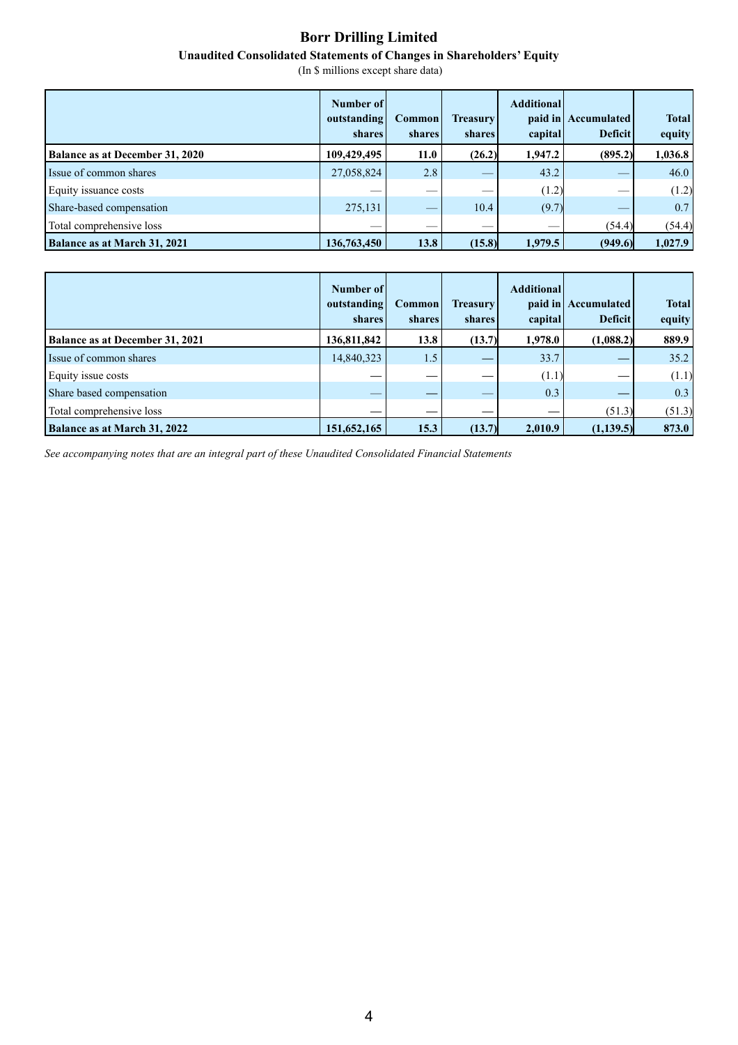# **Borr Drilling Limited**

## **Unaudited Consolidated Statements of Changes in Shareholders' Equity**

(In \$ millions except share data)

|                                        | Number of<br>outstanding<br>shares | <b>Common</b><br><b>shares</b> | <b>Treasury</b><br>shares | <b>Additional</b><br>capital | paid in Accumulated<br><b>Deficit</b> | <b>Total</b><br>equity |
|----------------------------------------|------------------------------------|--------------------------------|---------------------------|------------------------------|---------------------------------------|------------------------|
| <b>Balance as at December 31, 2020</b> | 109,429,495                        | 11.0                           | (26.2)                    | 1,947.2                      | (895.2)                               | 1,036.8                |
| Issue of common shares                 | 27,058,824                         | 2.8                            |                           | 43.2                         |                                       | 46.0                   |
| Equity issuance costs                  |                                    | $\sim$                         | __                        | (1.2)                        | $\sim$                                | (1.2)                  |
| Share-based compensation               | 275,131                            | $\equiv$                       | 10.4                      | (9.7)                        |                                       | 0.7                    |
| Total comprehensive loss               | $\sim$                             | $\overline{\phantom{a}}$       |                           | $\sim$                       | (54.4)                                | (54.4)                 |
| Balance as at March 31, 2021           | 136,763,450                        | 13.8                           | (15.8)                    | 1,979.5                      | (949.6)                               | 1,027.9                |

|                                        | Number of<br>outstanding<br>shares | <b>Common</b><br>shares | <b>Treasury</b><br><b>shares</b> | <b>Additional</b><br>capital | paid in Accumulated<br><b>Deficit</b> | <b>Total</b><br>equity |
|----------------------------------------|------------------------------------|-------------------------|----------------------------------|------------------------------|---------------------------------------|------------------------|
| <b>Balance as at December 31, 2021</b> | 136,811,842                        | 13.8                    | (13.7)                           | 1,978.0                      | (1,088.2)                             | 889.9                  |
| Issue of common shares                 | 14,840,323                         | 1.5                     |                                  | 33.7                         |                                       | 35.2                   |
| Equity issue costs                     |                                    | __                      |                                  | (1.1)                        |                                       | (1.1)                  |
| Share based compensation               | __                                 |                         | $\sim$                           | 0.3                          |                                       | 0.3                    |
| Total comprehensive loss               |                                    |                         |                                  |                              | (51.3)                                | (51.3)                 |
| Balance as at March 31, 2022           | 151,652,165                        | 15.3                    | (13.7)                           | 2,010.9                      | (1,139.5)                             | 873.0                  |

<span id="page-14-0"></span>*See accompanying notes that are an integral part of these Unaudited Consolidated Financial Statements*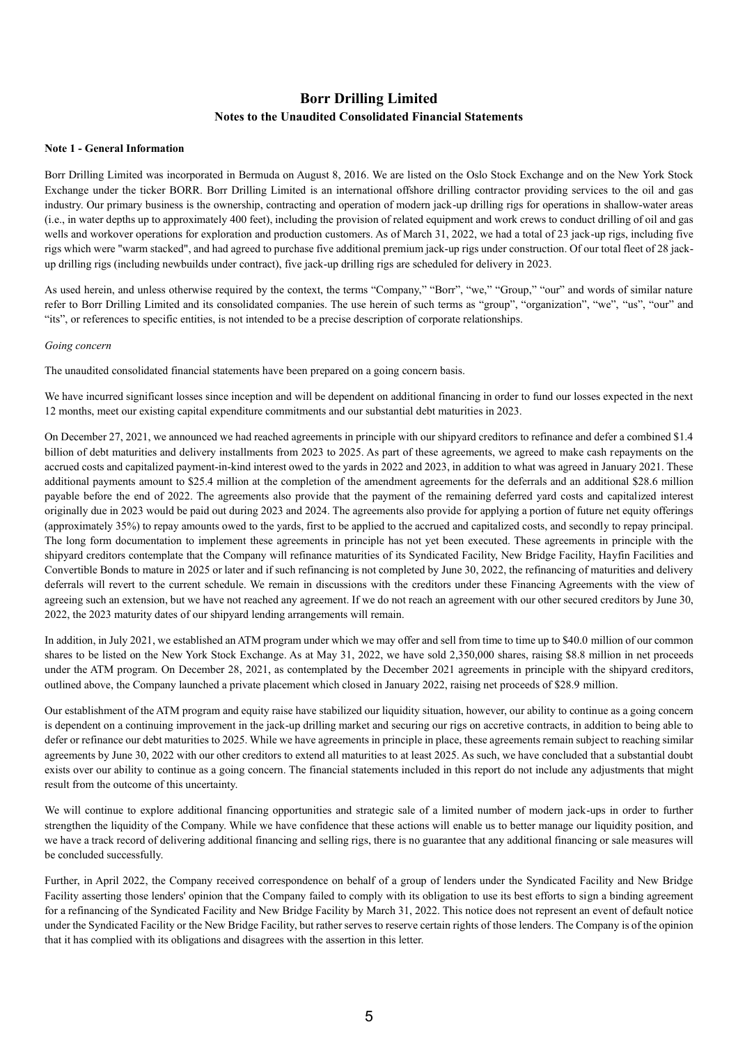## **Borr Drilling Limited Notes to the Unaudited Consolidated Financial Statements**

#### **Note 1 - General Information**

Borr Drilling Limited was incorporated in Bermuda on August 8, 2016. We are listed on the Oslo Stock Exchange and on the New York Stock Exchange under the ticker BORR. Borr Drilling Limited is an international offshore drilling contractor providing services to the oil and gas industry. Our primary business is the ownership, contracting and operation of modern jack-up drilling rigs for operations in shallow-water areas (i.e., in water depths up to approximately 400 feet), including the provision of related equipment and work crews to conduct drilling of oil and gas wells and workover operations for exploration and production customers. As of March 31, 2022, we had a total of 23 jack-up rigs, including five rigs which were "warm stacked", and had agreed to purchase five additional premium jack-up rigs under construction. Of our total fleet of 28 jackup drilling rigs (including newbuilds under contract), five jack-up drilling rigs are scheduled for delivery in 2023.

As used herein, and unless otherwise required by the context, the terms "Company," "Borr", "we," "Group," "our" and words of similar nature refer to Borr Drilling Limited and its consolidated companies. The use herein of such terms as "group", "organization", "we", "us", "our" and "its", or references to specific entities, is not intended to be a precise description of corporate relationships.

## *Going concern*

The unaudited consolidated financial statements have been prepared on a going concern basis.

We have incurred significant losses since inception and will be dependent on additional financing in order to fund our losses expected in the next 12 months, meet our existing capital expenditure commitments and our substantial debt maturities in 2023.

On December 27, 2021, we announced we had reached agreements in principle with our shipyard creditors to refinance and defer a combined \$1.4 billion of debt maturities and delivery installments from 2023 to 2025. As part of these agreements, we agreed to make cash repayments on the accrued costs and capitalized payment-in-kind interest owed to the yards in 2022 and 2023, in addition to what was agreed in January 2021. These additional payments amount to \$25.4 million at the completion of the amendment agreements for the deferrals and an additional \$28.6 million payable before the end of 2022. The agreements also provide that the payment of the remaining deferred yard costs and capitalized interest originally due in 2023 would be paid out during 2023 and 2024. The agreements also provide for applying a portion of future net equity offerings (approximately 35%) to repay amounts owed to the yards, first to be applied to the accrued and capitalized costs, and secondly to repay principal. The long form documentation to implement these agreements in principle has not yet been executed. These agreements in principle with the shipyard creditors contemplate that the Company will refinance maturities of its Syndicated Facility, New Bridge Facility, Hayfin Facilities and Convertible Bonds to mature in 2025 or later and if such refinancing is not completed by June 30, 2022, the refinancing of maturities and delivery deferrals will revert to the current schedule. We remain in discussions with the creditors under these Financing Agreements with the view of agreeing such an extension, but we have not reached any agreement. If we do not reach an agreement with our other secured creditors by June 30, 2022, the 2023 maturity dates of our shipyard lending arrangements will remain.

In addition, in July 2021, we established an ATM program under which we may offer and sell from time to time up to \$40.0 million of our common shares to be listed on the New York Stock Exchange. As at May 31, 2022, we have sold 2,350,000 shares, raising \$8.8 million in net proceeds under the ATM program. On December 28, 2021, as contemplated by the December 2021 agreements in principle with the shipyard creditors, outlined above, the Company launched a private placement which closed in January 2022, raising net proceeds of \$28.9 million.

Our establishment of the ATM program and equity raise have stabilized our liquidity situation, however, our ability to continue as a going concern is dependent on a continuing improvement in the jack-up drilling market and securing our rigs on accretive contracts, in addition to being able to defer or refinance our debt maturities to 2025. While we have agreements in principle in place, these agreements remain subject to reaching similar agreements by June 30, 2022 with our other creditors to extend all maturities to at least 2025. As such, we have concluded that a substantial doubt exists over our ability to continue as a going concern. The financial statements included in this report do not include any adjustments that might result from the outcome of this uncertainty.

We will continue to explore additional financing opportunities and strategic sale of a limited number of modern jack-ups in order to further strengthen the liquidity of the Company. While we have confidence that these actions will enable us to better manage our liquidity position, and we have a track record of delivering additional financing and selling rigs, there is no guarantee that any additional financing or sale measures will be concluded successfully.

Further, in April 2022, the Company received correspondence on behalf of a group of lenders under the Syndicated Facility and New Bridge Facility asserting those lenders' opinion that the Company failed to comply with its obligation to use its best efforts to sign a binding agreement for a refinancing of the Syndicated Facility and New Bridge Facility by March 31, 2022. This notice does not represent an event of default notice under the Syndicated Facility or the New Bridge Facility, but rather serves to reserve certain rights of those lenders. The Company is of the opinion that it has complied with its obligations and disagrees with the assertion in this letter.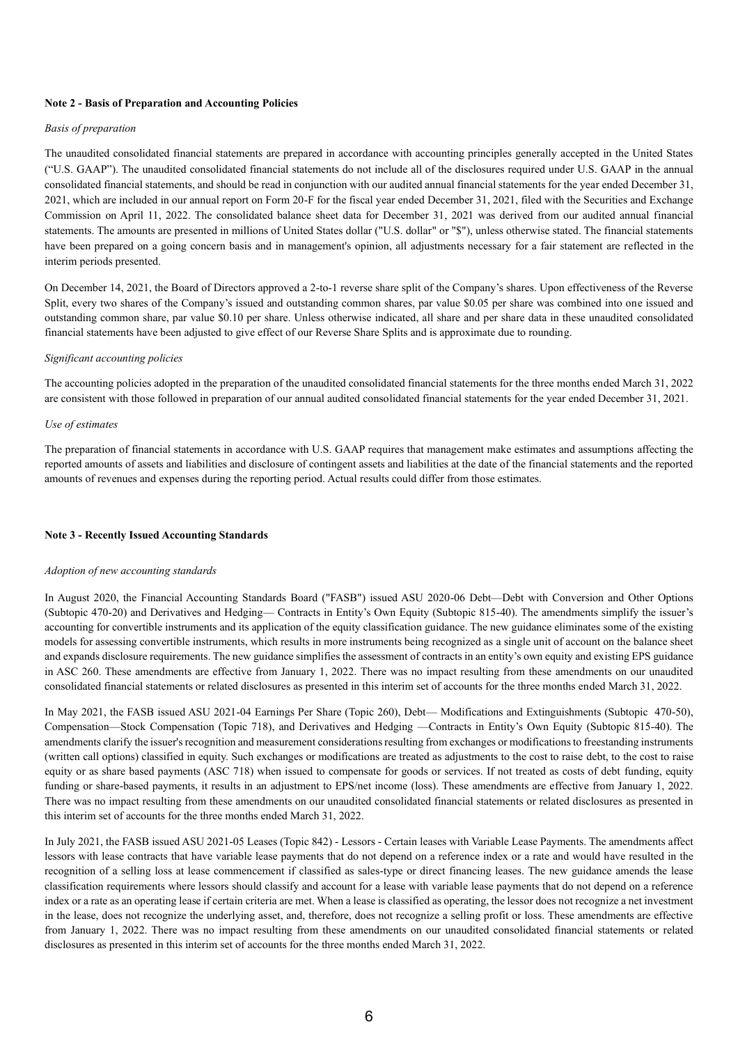### **Note 2 - Basis of Preparation and Accounting Policies**

## *Basis of preparation*

The unaudited consolidated financial statements are prepared in accordance with accounting principles generally accepted in the United States ("U.S. GAAP"). The unaudited consolidated financial statements do not include all of the disclosures required under U.S. GAAP in the annual consolidated financial statements, and should be read in conjunction with our audited annual financial statements for the year ended December 31, 2021, which are included in our annual report on Form 20-F for the fiscal year ended December 31, 2021, filed with the Securities and Exchange Commission on April 11, 2022. The consolidated balance sheet data for December 31, 2021 was derived from our audited annual financial statements. The amounts are presented in millions of United States dollar ("U.S. dollar" or "\$"), unless otherwise stated. The financial statements have been prepared on a going concern basis and in management's opinion, all adjustments necessary for a fair statement are reflected in the interim periods presented.

On December 14, 2021, the Board of Directors approved a 2-to-1 reverse share split of the Company's shares. Upon effectiveness of the Reverse Split, every two shares of the Company's issued and outstanding common shares, par value \$0.05 per share was combined into one issued and outstanding common share, par value \$0.10 per share. Unless otherwise indicated, all share and per share data in these unaudited consolidated financial statements have been adjusted to give effect of our Reverse Share Splits and is approximate due to rounding.

#### *Significant accounting policies*

The accounting policies adopted in the preparation of the unaudited consolidated financial statements for the three months ended March 31, 2022 are consistent with those followed in preparation of our annual audited consolidated financial statements for the year ended December 31, 2021.

#### *Use of estimates*

The preparation of financial statements in accordance with U.S. GAAP requires that management make estimates and assumptions affecting the reported amounts of assets and liabilities and disclosure of contingent assets and liabilities at the date of the financial statements and the reported amounts of revenues and expenses during the reporting period. Actual results could differ from those estimates.

#### **Note 3 - Recently Issued Accounting Standards**

#### *Adoption of new accounting standards*

In August 2020, the Financial Accounting Standards Board ("FASB") issued ASU 2020-06 Debt—Debt with Conversion and Other Options (Subtopic 470-20) and Derivatives and Hedging— Contracts in Entity's Own Equity (Subtopic 815-40). The amendments simplify the issuer's accounting for convertible instruments and its application of the equity classification guidance. The new guidance eliminates some of the existing models for assessing convertible instruments, which results in more instruments being recognized as a single unit of account on the balance sheet and expands disclosure requirements. The new guidance simplifies the assessment of contracts in an entity's own equity and existing EPS guidance in ASC 260. These amendments are effective from January 1, 2022. There was no impact resulting from these amendments on our unaudited consolidated financial statements or related disclosures as presented in this interim set of accounts for the three months ended March 31, 2022.

In May 2021, the FASB issued ASU 2021-04 Earnings Per Share (Topic 260), Debt— Modifications and Extinguishments (Subtopic 470-50), Compensation—Stock Compensation (Topic 718), and Derivatives and Hedging —Contracts in Entity's Own Equity (Subtopic 815-40). The amendments clarify the issuer's recognition and measurement considerations resulting from exchanges or modifications to freestanding instruments (written call options) classified in equity. Such exchanges or modifications are treated as adjustments to the cost to raise debt, to the cost to raise equity or as share based payments (ASC 718) when issued to compensate for goods or services. If not treated as costs of debt funding, equity funding or share-based payments, it results in an adjustment to EPS/net income (loss). These amendments are effective from January 1, 2022. There was no impact resulting from these amendments on our unaudited consolidated financial statements or related disclosures as presented in this interim set of accounts for the three months ended March 31, 2022.

In July 2021, the FASB issued ASU 2021-05 Leases (Topic 842) - Lessors - Certain leases with Variable Lease Payments. The amendments affect lessors with lease contracts that have variable lease payments that do not depend on a reference index or a rate and would have resulted in the recognition of a selling loss at lease commencement if classified as sales-type or direct financing leases. The new guidance amends the lease classification requirements where lessors should classify and account for a lease with variable lease payments that do not depend on a reference index or a rate as an operating lease if certain criteria are met. When a lease is classified as operating, the lessor does not recognize a net investment in the lease, does not recognize the underlying asset, and, therefore, does not recognize a selling profit or loss. These amendments are effective from January 1, 2022. There was no impact resulting from these amendments on our unaudited consolidated financial statements or related disclosures as presented in this interim set of accounts for the three months ended March 31, 2022.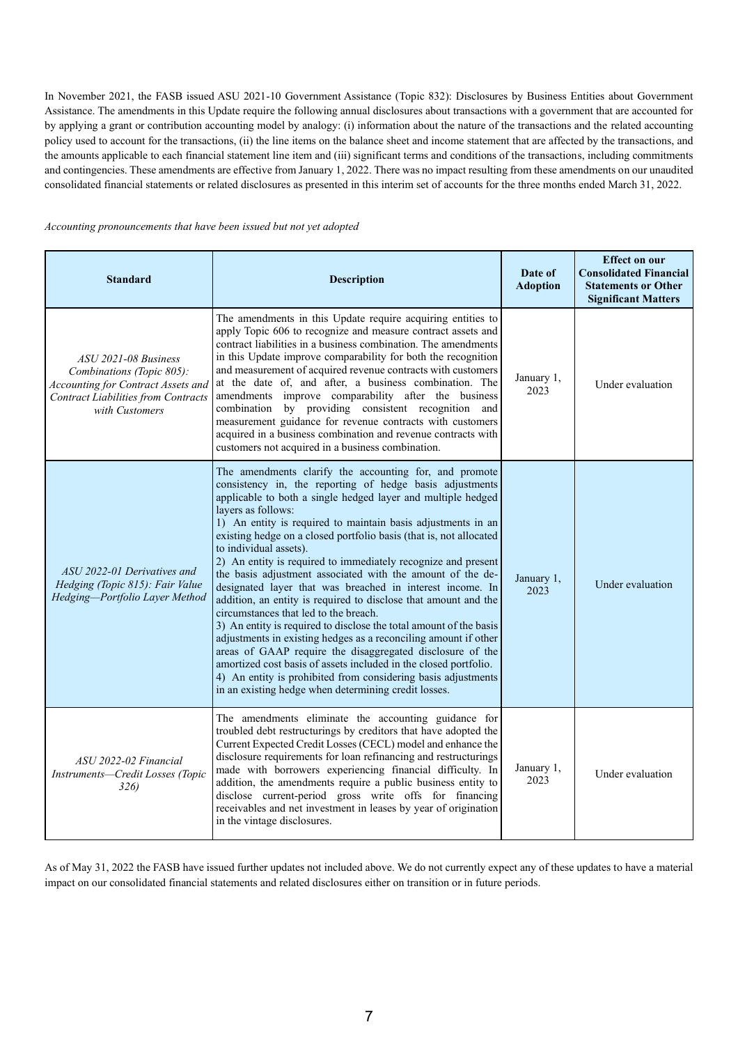In November 2021, the FASB issued ASU 2021-10 Government Assistance (Topic 832): Disclosures by Business Entities about Government Assistance. The amendments in this Update require the following annual disclosures about transactions with a government that are accounted for by applying a grant or contribution accounting model by analogy: (i) information about the nature of the transactions and the related accounting policy used to account for the transactions, (ii) the line items on the balance sheet and income statement that are affected by the transactions, and the amounts applicable to each financial statement line item and (iii) significant terms and conditions of the transactions, including commitments and contingencies. These amendments are effective from January 1, 2022. There was no impact resulting from these amendments on our unaudited consolidated financial statements or related disclosures as presented in this interim set of accounts for the three months ended March 31, 2022.

#### *Accounting pronouncements that have been issued but not yet adopted*

| <b>Standard</b>                                                                                                                                                | <b>Description</b>                                                                                                                                                                                                                                                                                                                                                                                                                                                                                                                                                                                                                                                                                                                                                                                                                                                                                                                                                                                                                                                                  | Date of<br><b>Adoption</b> | <b>Effect on our</b><br><b>Consolidated Financial</b><br><b>Statements or Other</b><br><b>Significant Matters</b> |
|----------------------------------------------------------------------------------------------------------------------------------------------------------------|-------------------------------------------------------------------------------------------------------------------------------------------------------------------------------------------------------------------------------------------------------------------------------------------------------------------------------------------------------------------------------------------------------------------------------------------------------------------------------------------------------------------------------------------------------------------------------------------------------------------------------------------------------------------------------------------------------------------------------------------------------------------------------------------------------------------------------------------------------------------------------------------------------------------------------------------------------------------------------------------------------------------------------------------------------------------------------------|----------------------------|-------------------------------------------------------------------------------------------------------------------|
| ASU 2021-08 Business<br>Combinations (Topic 805):<br><b>Accounting for Contract Assets and</b><br><b>Contract Liabilities from Contracts</b><br>with Customers | The amendments in this Update require acquiring entities to<br>apply Topic 606 to recognize and measure contract assets and<br>contract liabilities in a business combination. The amendments<br>in this Update improve comparability for both the recognition<br>and measurement of acquired revenue contracts with customers<br>at the date of, and after, a business combination. The<br>amendments improve comparability after the business<br>combination by providing consistent recognition<br>and<br>measurement guidance for revenue contracts with customers<br>acquired in a business combination and revenue contracts with<br>customers not acquired in a business combination.                                                                                                                                                                                                                                                                                                                                                                                        | January 1,<br>2023         | Under evaluation                                                                                                  |
| ASU 2022-01 Derivatives and<br>Hedging (Topic 815): Fair Value<br>Hedging-Portfolio Layer Method                                                               | The amendments clarify the accounting for, and promote<br>consistency in, the reporting of hedge basis adjustments<br>applicable to both a single hedged layer and multiple hedged<br>layers as follows:<br>1) An entity is required to maintain basis adjustments in an<br>existing hedge on a closed portfolio basis (that is, not allocated<br>to individual assets).<br>2) An entity is required to immediately recognize and present<br>the basis adjustment associated with the amount of the de-<br>designated layer that was breached in interest income. In<br>addition, an entity is required to disclose that amount and the<br>circumstances that led to the breach.<br>3) An entity is required to disclose the total amount of the basis<br>adjustments in existing hedges as a reconciling amount if other<br>areas of GAAP require the disaggregated disclosure of the<br>amortized cost basis of assets included in the closed portfolio.<br>4) An entity is prohibited from considering basis adjustments<br>in an existing hedge when determining credit losses. | January 1,<br>2023         | Under evaluation                                                                                                  |
| ASU 2022-02 Financial<br>Instruments-Credit Losses (Topic<br>326)                                                                                              | The amendments eliminate the accounting guidance for<br>troubled debt restructurings by creditors that have adopted the<br>Current Expected Credit Losses (CECL) model and enhance the<br>disclosure requirements for loan refinancing and restructurings<br>made with borrowers experiencing financial difficulty. In<br>addition, the amendments require a public business entity to<br>disclose current-period gross write offs for financing<br>receivables and net investment in leases by year of origination<br>in the vintage disclosures.                                                                                                                                                                                                                                                                                                                                                                                                                                                                                                                                  | January 1,<br>2023         | Under evaluation                                                                                                  |

As of May 31, 2022 the FASB have issued further updates not included above. We do not currently expect any of these updates to have a material impact on our consolidated financial statements and related disclosures either on transition or in future periods.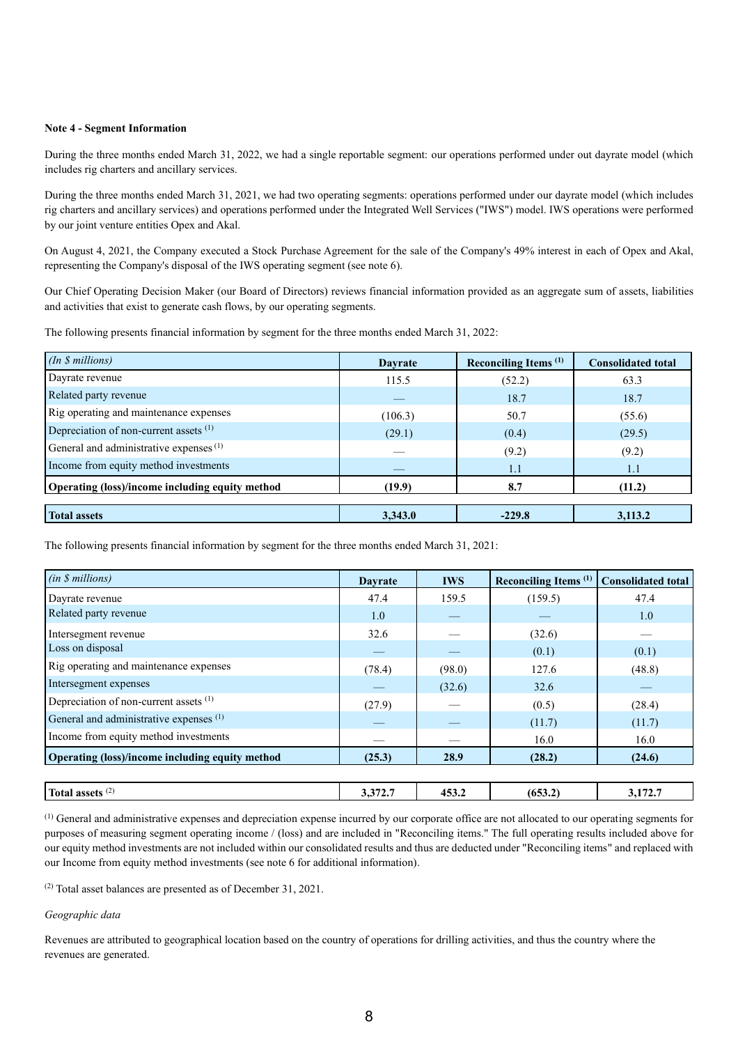## **Note 4 - Segment Information**

During the three months ended March 31, 2022, we had a single reportable segment: our operations performed under out dayrate model (which includes rig charters and ancillary services.

During the three months ended March 31, 2021, we had two operating segments: operations performed under our dayrate model (which includes rig charters and ancillary services) and operations performed under the Integrated Well Services ("IWS") model. IWS operations were performed by our joint venture entities Opex and Akal.

On August 4, 2021, the Company executed a Stock Purchase Agreement for the sale of the Company's 49% interest in each of Opex and Akal, representing the Company's disposal of the IWS operating segment (see note 6).

Our Chief Operating Decision Maker (our Board of Directors) reviews financial information provided as an aggregate sum of assets, liabilities and activities that exist to generate cash flows, by our operating segments.

The following presents financial information by segment for the three months ended March 31, 2022:

| (In \$millions)                                    | <b>Dayrate</b> | Reconciling Items <sup>(1)</sup> | <b>Consolidated total</b> |
|----------------------------------------------------|----------------|----------------------------------|---------------------------|
| Dayrate revenue                                    | 115.5          | (52.2)                           | 63.3                      |
| Related party revenue                              |                | 18.7                             | 18.7                      |
| Rig operating and maintenance expenses             | (106.3)        | 50.7                             | (55.6)                    |
| Depreciation of non-current assets (1)             | (29.1)         | (0.4)                            | (29.5)                    |
| General and administrative expenses <sup>(1)</sup> |                | (9.2)                            | (9.2)                     |
| Income from equity method investments              |                | 1.1                              | 1.1                       |
| Operating (loss)/income including equity method    | (19.9)         | 8.7                              | (11.2)                    |
|                                                    |                |                                  |                           |
| <b>Total assets</b>                                | 3,343.0        | $-229.8$                         | 3,113.2                   |

The following presents financial information by segment for the three months ended March 31, 2021:

| (in \$millions)                                 | <b>Davrate</b> | <b>IWS</b> | Reconciling Items <sup>(1)</sup> | <b>Consolidated total</b> |
|-------------------------------------------------|----------------|------------|----------------------------------|---------------------------|
| Dayrate revenue                                 | 47.4           | 159.5      | (159.5)                          | 47.4                      |
| Related party revenue                           | 1.0            |            |                                  | 1.0                       |
| Intersegment revenue                            | 32.6           |            | (32.6)                           |                           |
| Loss on disposal                                |                |            | (0.1)                            | (0.1)                     |
| Rig operating and maintenance expenses          | (78.4)         | (98.0)     | 127.6                            | (48.8)                    |
| Intersegment expenses                           |                | (32.6)     | 32.6                             |                           |
| Depreciation of non-current assets (1)          | (27.9)         |            | (0.5)                            | (28.4)                    |
| General and administrative expenses (1)         |                |            | (11.7)                           | (11.7)                    |
| Income from equity method investments           |                |            | 16.0                             | 16.0                      |
| Operating (loss)/income including equity method | (25.3)         | 28.9       | (28.2)                           | (24.6)                    |
| Total assets $(2)$                              | 3.372.7        | 453.2      | (653.2)                          | 3,172.7                   |

(1) General and administrative expenses and depreciation expense incurred by our corporate office are not allocated to our operating segments for purposes of measuring segment operating income / (loss) and are included in "Reconciling items." The full operating results included above for our equity method investments are not included within our consolidated results and thus are deducted under "Reconciling items" and replaced with our Income from equity method investments (see note 6 for additional information).

(2) Total asset balances are presented as of December 31, 2021.

## *Geographic data*

Revenues are attributed to geographical location based on the country of operations for drilling activities, and thus the country where the revenues are generated.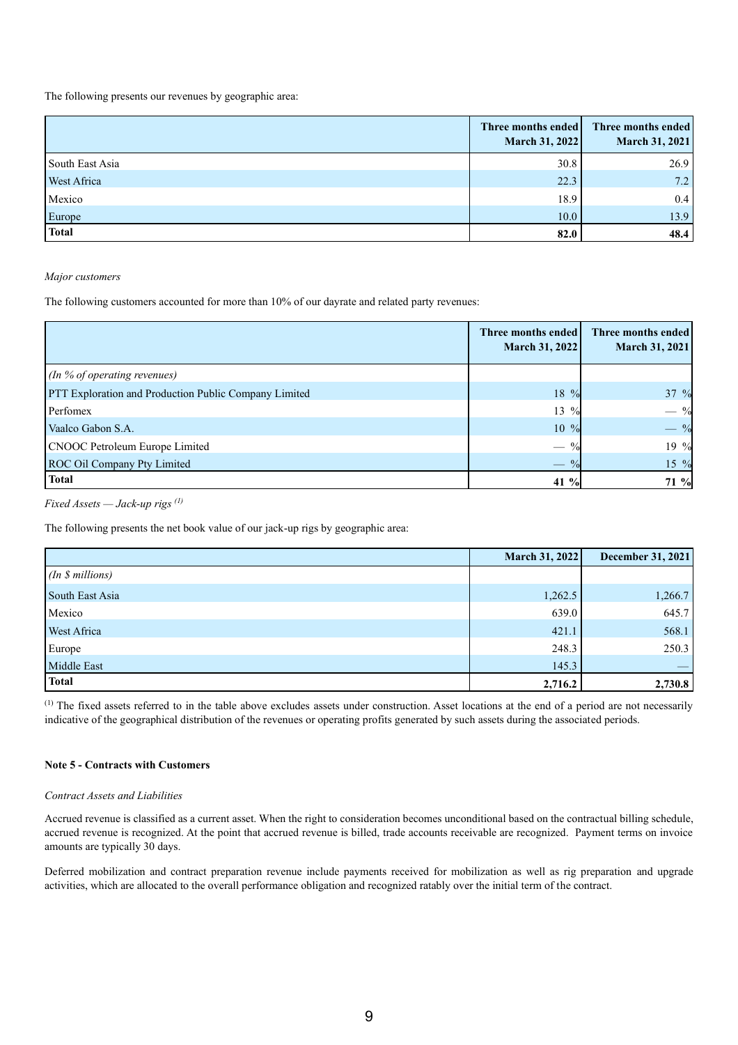The following presents our revenues by geographic area:

|                 | Three months ended<br><b>March 31, 2022</b> | Three months ended<br>March 31, 2021 |
|-----------------|---------------------------------------------|--------------------------------------|
| South East Asia | 30.8                                        | 26.9                                 |
| West Africa     | 22.3                                        | 7.2                                  |
| Mexico          | 18.9                                        | 0.4                                  |
| Europe          | 10.0                                        | 13.9                                 |
| <b>Total</b>    | 82.0                                        | 48.4                                 |

*Major customers* 

The following customers accounted for more than 10% of our dayrate and related party revenues:

|                                                              | Three months ended<br>March 31, 2022 | Three months ended<br>March 31, 2021 |
|--------------------------------------------------------------|--------------------------------------|--------------------------------------|
| (In % of operating revenues)                                 |                                      |                                      |
| <b>PTT Exploration and Production Public Company Limited</b> | 18 %                                 | $37\%$                               |
| Perfomex                                                     | 13 %                                 | $-$ %                                |
| Vaalco Gabon S.A.                                            | $10\%$                               | $-$ %                                |
| <b>CNOOC Petroleum Europe Limited</b>                        |                                      | 19 %                                 |
| ROC Oil Company Pty Limited                                  |                                      | 15 %                                 |
| <b>Total</b>                                                 | 41 %                                 | 71 %                                 |

*Fixed Assets — Jack-up rigs (1)*

The following presents the net book value of our jack-up rigs by geographic area:

|                 | March 31, 2022 | December 31, 2021 |
|-----------------|----------------|-------------------|
| (In \$millions) |                |                   |
| South East Asia | 1,262.5        | 1,266.7           |
| Mexico          | 639.0          | 645.7             |
| West Africa     | 421.1          | 568.1             |
| Europe          | 248.3          | 250.3             |
| Middle East     | 145.3          |                   |
| <b>Total</b>    | 2,716.2        | 2,730.8           |

(1) The fixed assets referred to in the table above excludes assets under construction. Asset locations at the end of a period are not necessarily indicative of the geographical distribution of the revenues or operating profits generated by such assets during the associated periods.

## **Note 5 - Contracts with Customers**

## *Contract Assets and Liabilities*

Accrued revenue is classified as a current asset. When the right to consideration becomes unconditional based on the contractual billing schedule, accrued revenue is recognized. At the point that accrued revenue is billed, trade accounts receivable are recognized. Payment terms on invoice amounts are typically 30 days.

Deferred mobilization and contract preparation revenue include payments received for mobilization as well as rig preparation and upgrade activities, which are allocated to the overall performance obligation and recognized ratably over the initial term of the contract.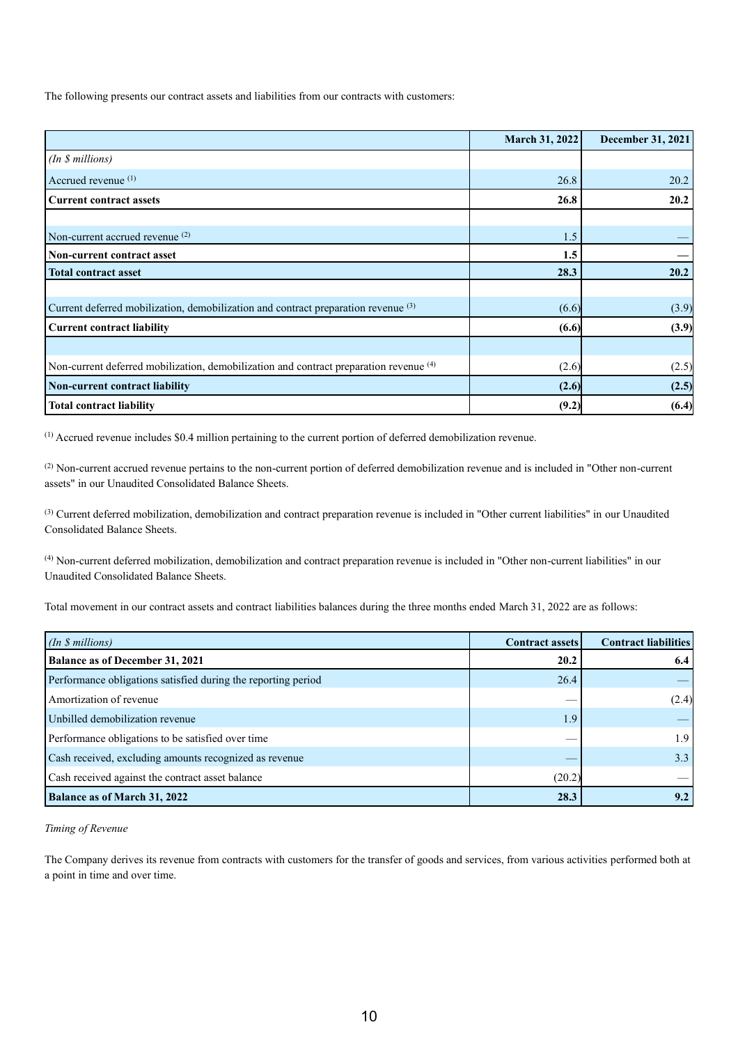The following presents our contract assets and liabilities from our contracts with customers:

|                                                                                        | <b>March 31, 2022</b> | <b>December 31, 2021</b> |
|----------------------------------------------------------------------------------------|-----------------------|--------------------------|
| (In \$ millions)                                                                       |                       |                          |
| Accrued revenue <sup>(1)</sup>                                                         | 26.8                  | 20.2                     |
| <b>Current contract assets</b>                                                         | 26.8                  | 20.2                     |
|                                                                                        |                       |                          |
| Non-current accrued revenue $(2)$                                                      | 1.5                   |                          |
| Non-current contract asset                                                             | 1.5                   |                          |
| <b>Total contract asset</b>                                                            | 28.3                  | 20.2                     |
|                                                                                        |                       |                          |
| Current deferred mobilization, demobilization and contract preparation revenue (3)     | (6.6)                 | (3.9)                    |
| <b>Current contract liability</b>                                                      | (6.6)                 | (3.9)                    |
|                                                                                        |                       |                          |
| Non-current deferred mobilization, demobilization and contract preparation revenue (4) | (2.6)                 | (2.5)                    |
| Non-current contract liability                                                         | (2.6)                 | (2.5)                    |
| <b>Total contract liability</b>                                                        | (9.2)                 | (6.4)                    |

(1) Accrued revenue includes \$0.4 million pertaining to the current portion of deferred demobilization revenue.

<sup>(2)</sup> Non-current accrued revenue pertains to the non-current portion of deferred demobilization revenue and is included in "Other non-current assets" in our Unaudited Consolidated Balance Sheets.

<sup>(3)</sup> Current deferred mobilization, demobilization and contract preparation revenue is included in "Other current liabilities" in our Unaudited Consolidated Balance Sheets.

(4) Non-current deferred mobilization, demobilization and contract preparation revenue is included in "Other non-current liabilities" in our Unaudited Consolidated Balance Sheets.

Total movement in our contract assets and contract liabilities balances during the three months ended March 31, 2022 are as follows:

| $(In $s$ millions)                                            | <b>Contract assets</b> | <b>Contract liabilities</b> |
|---------------------------------------------------------------|------------------------|-----------------------------|
| <b>Balance as of December 31, 2021</b>                        | 20.2                   | 6.4                         |
| Performance obligations satisfied during the reporting period | 26.4                   |                             |
| Amortization of revenue                                       | $\sim$                 | (2.4)                       |
| Unbilled demobilization revenue                               | 1.9                    |                             |
| Performance obligations to be satisfied over time             | $\sim$                 | 1.9 <sub>1</sub>            |
| Cash received, excluding amounts recognized as revenue        |                        | 3.3                         |
| Cash received against the contract asset balance              | (20.2)                 |                             |
| <b>Balance as of March 31, 2022</b>                           | 28.3                   | 9.2                         |

*Timing of Revenue*

The Company derives its revenue from contracts with customers for the transfer of goods and services, from various activities performed both at a point in time and over time.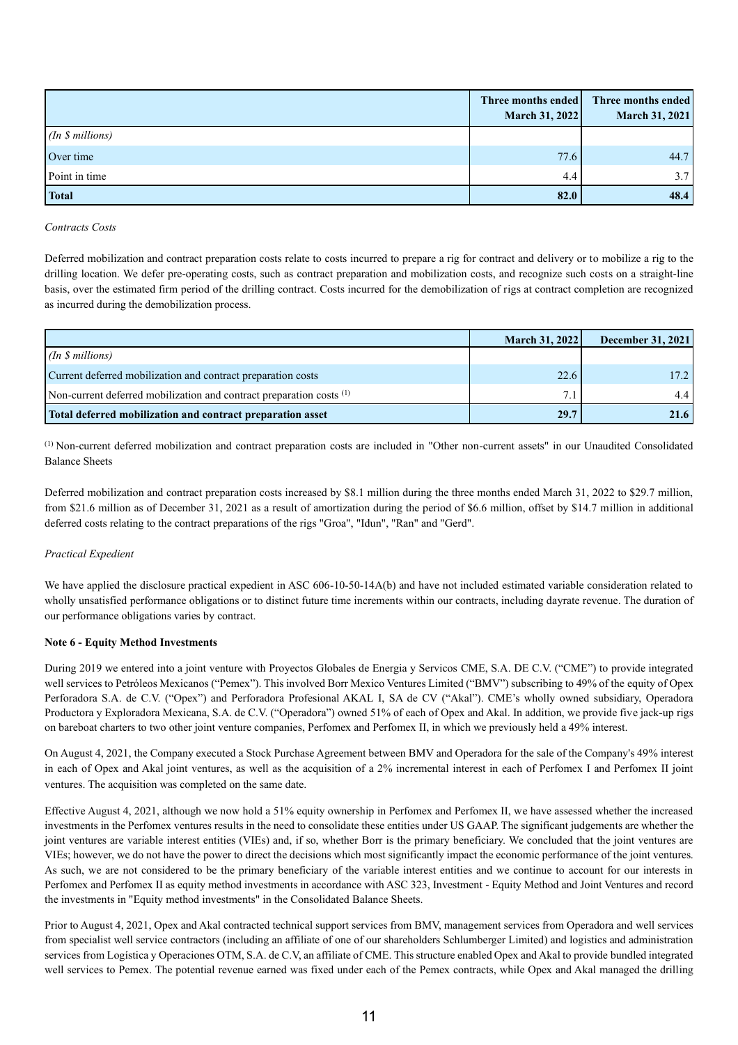|                  | Three months ended<br>March 31, 2022 | Three months ended<br>March 31, 2021 |
|------------------|--------------------------------------|--------------------------------------|
| (In \$ millions) |                                      |                                      |
| Over time        | 77.6                                 | 44.7                                 |
| Point in time    | 4.4                                  | 3.7 <sub>1</sub>                     |
| <b>Total</b>     | 82.0                                 | 48.4                                 |

*Contracts Costs*

Deferred mobilization and contract preparation costs relate to costs incurred to prepare a rig for contract and delivery or to mobilize a rig to the drilling location. We defer pre-operating costs, such as contract preparation and mobilization costs, and recognize such costs on a straight-line basis, over the estimated firm period of the drilling contract. Costs incurred for the demobilization of rigs at contract completion are recognized as incurred during the demobilization process.

|                                                                                 | <b>March 31, 2022</b> | <b>December 31, 2021</b> |
|---------------------------------------------------------------------------------|-----------------------|--------------------------|
| (In \$ millions)                                                                |                       |                          |
| Current deferred mobilization and contract preparation costs                    | 22.6                  | 17.2 <sup>1</sup>        |
| Non-current deferred mobilization and contract preparation costs <sup>(1)</sup> | 7.1                   | 4.4                      |
| Total deferred mobilization and contract preparation asset                      | 29.7                  | 21.6                     |

(1) Non-current deferred mobilization and contract preparation costs are included in "Other non-current assets" in our Unaudited Consolidated Balance Sheets

Deferred mobilization and contract preparation costs increased by \$8.1 million during the three months ended March 31, 2022 to \$29.7 million, from \$21.6 million as of December 31, 2021 as a result of amortization during the period of \$6.6 million, offset by \$14.7 million in additional deferred costs relating to the contract preparations of the rigs "Groa", "Idun", "Ran" and "Gerd".

## *Practical Expedient*

We have applied the disclosure practical expedient in ASC 606-10-50-14A(b) and have not included estimated variable consideration related to wholly unsatisfied performance obligations or to distinct future time increments within our contracts, including dayrate revenue. The duration of our performance obligations varies by contract.

#### **Note 6 - Equity Method Investments**

During 2019 we entered into a joint venture with Proyectos Globales de Energia y Servicos CME, S.A. DE C.V. ("CME") to provide integrated well services to Petróleos Mexicanos ("Pemex"). This involved Borr Mexico Ventures Limited ("BMV") subscribing to 49% of the equity of Opex Perforadora S.A. de C.V. ("Opex") and Perforadora Profesional AKAL I, SA de CV ("Akal"). CME's wholly owned subsidiary, Operadora Productora y Exploradora Mexicana, S.A. de C.V. ("Operadora") owned 51% of each of Opex and Akal. In addition, we provide five jack-up rigs on bareboat charters to two other joint venture companies, Perfomex and Perfomex II, in which we previously held a 49% interest.

On August 4, 2021, the Company executed a Stock Purchase Agreement between BMV and Operadora for the sale of the Company's 49% interest in each of Opex and Akal joint ventures, as well as the acquisition of a 2% incremental interest in each of Perfomex I and Perfomex II joint ventures. The acquisition was completed on the same date.

Effective August 4, 2021, although we now hold a 51% equity ownership in Perfomex and Perfomex II, we have assessed whether the increased investments in the Perfomex ventures results in the need to consolidate these entities under US GAAP. The significant judgements are whether the joint ventures are variable interest entities (VIEs) and, if so, whether Borr is the primary beneficiary. We concluded that the joint ventures are VIEs; however, we do not have the power to direct the decisions which most significantly impact the economic performance of the joint ventures. As such, we are not considered to be the primary beneficiary of the variable interest entities and we continue to account for our interests in Perfomex and Perfomex II as equity method investments in accordance with ASC 323, Investment - Equity Method and Joint Ventures and record the investments in "Equity method investments" in the Consolidated Balance Sheets.

Prior to August 4, 2021, Opex and Akal contracted technical support services from BMV, management services from Operadora and well services from specialist well service contractors (including an affiliate of one of our shareholders Schlumberger Limited) and logistics and administration services from Logística y Operaciones OTM, S.A. de C.V, an affiliate of CME. This structure enabled Opex and Akal to provide bundled integrated well services to Pemex. The potential revenue earned was fixed under each of the Pemex contracts, while Opex and Akal managed the drilling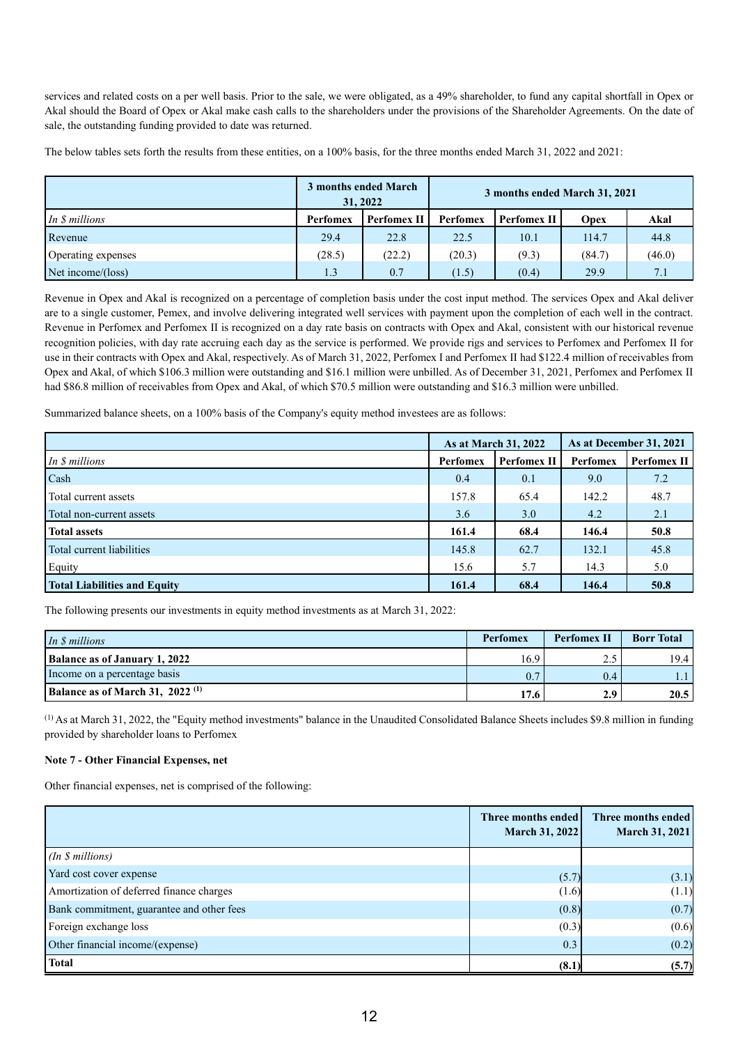services and related costs on a per well basis. Prior to the sale, we were obligated, as a 49% shareholder, to fund any capital shortfall in Opex or Akal should the Board of Opex or Akal make cash calls to the shareholders under the provisions of the Shareholder Agreements. On the date of sale, the outstanding funding provided to date was returned.

The below tables sets forth the results from these entities, on a 100% basis, for the three months ended March 31, 2022 and 2021:

|                      | 3 months ended March<br>31, 2022 |                    |                 | 3 months ended March 31, 2021 |        |        |
|----------------------|----------------------------------|--------------------|-----------------|-------------------------------|--------|--------|
| In <i>S</i> millions | <b>Perfomex</b>                  | <b>Perfomex II</b> | <b>Perfomex</b> | Perfomex II                   | Opex   | Akal   |
| Revenue              | 29.4                             | 22.8               | 22.5            | 10.1                          | 114.7  | 44.8   |
| Operating expenses   | (28.5)                           | (22.2)             | (20.3)          | (9.3)                         | (84.7) | (46.0) |
| Net income/(loss)    | 1.3                              | 0.7                | (1.5)           | (0.4)                         | 29.9   | 7.1    |

Revenue in Opex and Akal is recognized on a percentage of completion basis under the cost input method. The services Opex and Akal deliver are to a single customer, Pemex, and involve delivering integrated well services with payment upon the completion of each well in the contract. Revenue in Perfomex and Perfomex II is recognized on a day rate basis on contracts with Opex and Akal, consistent with our historical revenue recognition policies, with day rate accruing each day as the service is performed. We provide rigs and services to Perfomex and Perfomex II for use in their contracts with Opex and Akal, respectively. As of March 31, 2022, Perfomex I and Perfomex II had \$122.4 million of receivables from Opex and Akal, of which \$106.3 million were outstanding and \$16.1 million were unbilled. As of December 31, 2021, Perfomex and Perfomex II had \$86.8 million of receivables from Opex and Akal, of which \$70.5 million were outstanding and \$16.3 million were unbilled.

Summarized balance sheets, on a 100% basis of the Company's equity method investees are as follows:

|                                     |                 | As at March 31, 2022 |          | As at December 31, 2021 |
|-------------------------------------|-----------------|----------------------|----------|-------------------------|
| In \$ millions                      | <b>Perfomex</b> | Perfomex II          | Perfomex | Perfomex II             |
| Cash                                | 0.4             | 0.1                  | 9.0      | 7.2                     |
| Total current assets                | 157.8           | 65.4                 | 142.2    | 48.7                    |
| Total non-current assets            | 3.6             | 3.0                  | 4.2      | 2.1                     |
| <b>Total assets</b>                 | 161.4           | 68.4                 | 146.4    | 50.8                    |
| Total current liabilities           | 145.8           | 62.7                 | 132.1    | 45.8                    |
| Equity                              | 15.6            | 5.7                  | 14.3     | 5.0                     |
| <b>Total Liabilities and Equity</b> | 161.4           | 68.4                 | 146.4    | 50.8                    |

The following presents our investments in equity method investments as at March 31, 2022:

| In <i>S</i> millions                          | <b>Perfomex</b> | <b>Perfomex II</b> | <b>Borr Total</b> |
|-----------------------------------------------|-----------------|--------------------|-------------------|
| <b>Balance as of January 1, 2022</b>          | 16.9            | ن ک                | 19.4              |
| Income on a percentage basis                  | 0.7             | 0.4                | 1.1               |
| Balance as of March 31, $2022$ <sup>(1)</sup> | 17.6            | 2.9                | 20.5              |

(1) As at March 31, 2022, the "Equity method investments" balance in the Unaudited Consolidated Balance Sheets includes \$9.8 million in funding provided by shareholder loans to Perfomex

## **Note 7 - Other Financial Expenses, net**

Other financial expenses, net is comprised of the following:

|                                           | Three months ended<br><b>March 31, 2022</b> | Three months ended<br><b>March 31, 2021</b> |
|-------------------------------------------|---------------------------------------------|---------------------------------------------|
| (In \$millions)                           |                                             |                                             |
| Yard cost cover expense                   | (5.7)                                       | (3.1)                                       |
| Amortization of deferred finance charges  | (1.6)                                       | (1.1)                                       |
| Bank commitment, guarantee and other fees | (0.8)                                       | (0.7)                                       |
| Foreign exchange loss                     | (0.3)                                       | (0.6)                                       |
| Other financial income/(expense)          | 0.3                                         | (0.2)                                       |
| <b>Total</b>                              | (8.1)                                       | (5.7)                                       |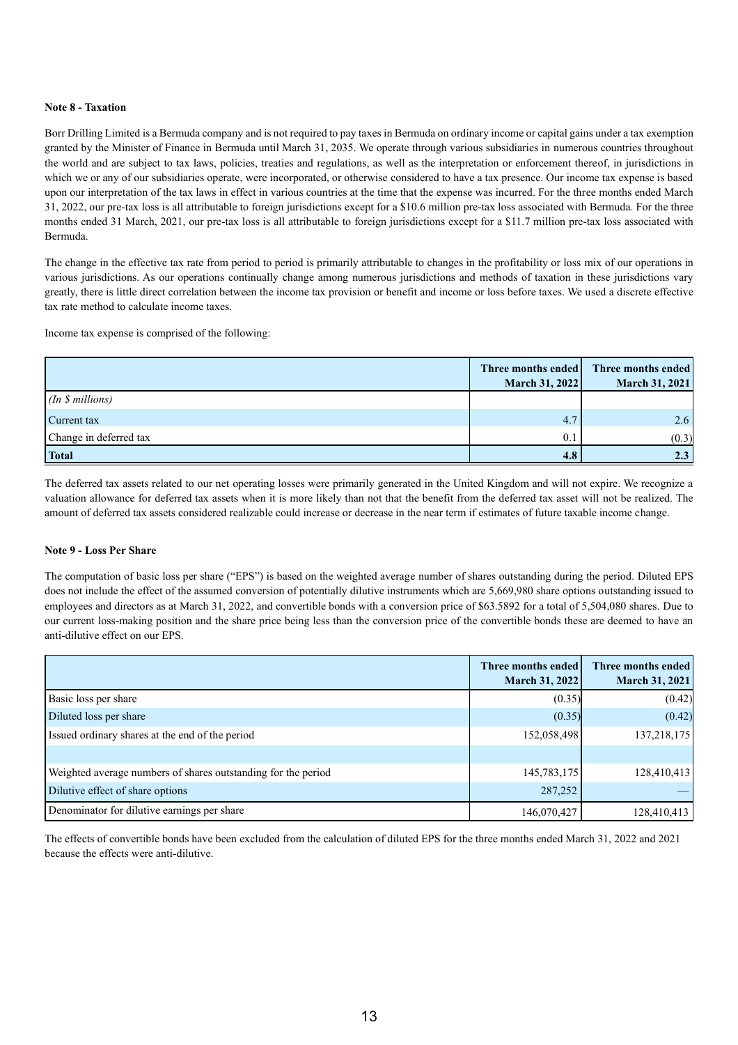## **Note 8 - Taxation**

Borr Drilling Limited is a Bermuda company and is not required to pay taxes in Bermuda on ordinary income or capital gains under a tax exemption granted by the Minister of Finance in Bermuda until March 31, 2035. We operate through various subsidiaries in numerous countries throughout the world and are subject to tax laws, policies, treaties and regulations, as well as the interpretation or enforcement thereof, in jurisdictions in which we or any of our subsidiaries operate, were incorporated, or otherwise considered to have a tax presence. Our income tax expense is based upon our interpretation of the tax laws in effect in various countries at the time that the expense was incurred. For the three months ended March 31, 2022, our pre-tax loss is all attributable to foreign jurisdictions except for a \$10.6 million pre-tax loss associated with Bermuda. For the three months ended 31 March, 2021, our pre-tax loss is all attributable to foreign jurisdictions except for a \$11.7 million pre-tax loss associated with Bermuda.

The change in the effective tax rate from period to period is primarily attributable to changes in the profitability or loss mix of our operations in various jurisdictions. As our operations continually change among numerous jurisdictions and methods of taxation in these jurisdictions vary greatly, there is little direct correlation between the income tax provision or benefit and income or loss before taxes. We used a discrete effective tax rate method to calculate income taxes.

Income tax expense is comprised of the following:

|                        | Three months ended<br>March 31, 2022 | Three months ended<br>March 31, 2021 |
|------------------------|--------------------------------------|--------------------------------------|
| (In \$millions)        |                                      |                                      |
| Current tax            | 4.7                                  | 2.6                                  |
| Change in deferred tax | 0.1                                  | (0.3)                                |
| <b>Total</b>           | 4.8                                  | 2.3                                  |

The deferred tax assets related to our net operating losses were primarily generated in the United Kingdom and will not expire. We recognize a valuation allowance for deferred tax assets when it is more likely than not that the benefit from the deferred tax asset will not be realized. The amount of deferred tax assets considered realizable could increase or decrease in the near term if estimates of future taxable income change.

## **Note 9 - Loss Per Share**

The computation of basic loss per share ("EPS") is based on the weighted average number of shares outstanding during the period. Diluted EPS does not include the effect of the assumed conversion of potentially dilutive instruments which are 5,669,980 share options outstanding issued to employees and directors as at March 31, 2022, and convertible bonds with a conversion price of \$63.5892 for a total of 5,504,080 shares. Due to our current loss-making position and the share price being less than the conversion price of the convertible bonds these are deemed to have an anti-dilutive effect on our EPS.

|                                                               | Three months ended<br><b>March 31, 2022</b> | Three months ended<br><b>March 31, 2021</b> |
|---------------------------------------------------------------|---------------------------------------------|---------------------------------------------|
| Basic loss per share                                          | (0.35)                                      | (0.42)                                      |
| Diluted loss per share                                        | (0.35)                                      | (0.42)                                      |
| Issued ordinary shares at the end of the period               | 152,058,498                                 | 137,218,175                                 |
|                                                               |                                             |                                             |
| Weighted average numbers of shares outstanding for the period | 145,783,175                                 | 128,410,413                                 |
| Dilutive effect of share options                              | 287,252                                     |                                             |
| Denominator for dilutive earnings per share                   | 146,070,427                                 | 128,410,413                                 |

The effects of convertible bonds have been excluded from the calculation of diluted EPS for the three months ended March 31, 2022 and 2021 because the effects were anti-dilutive.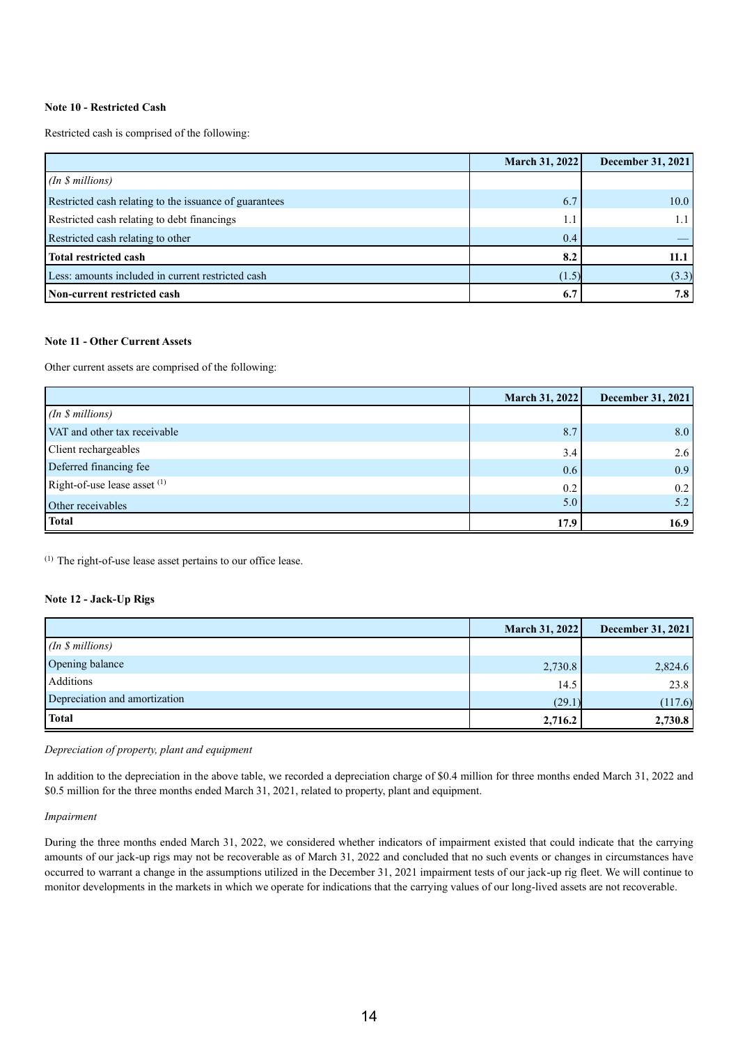## **Note 10 - Restricted Cash**

Restricted cash is comprised of the following:

|                                                        | March 31, 2022 | December 31, 2021 |
|--------------------------------------------------------|----------------|-------------------|
| (In \$millions)                                        |                |                   |
| Restricted cash relating to the issuance of guarantees | 6.7            | 10.0              |
| Restricted cash relating to debt financings            | 1.1            |                   |
| Restricted cash relating to other                      | 0.4            |                   |
| <b>Total restricted cash</b>                           | 8.2            | 11.1              |
| Less: amounts included in current restricted cash      | (1.5)          | (3.3)             |
| Non-current restricted cash                            | 6.7            | 7.8               |

## **Note 11 - Other Current Assets**

Other current assets are comprised of the following:

|                              | March 31, 2022 | <b>December 31, 2021</b> |
|------------------------------|----------------|--------------------------|
| (In \$millions)              |                |                          |
| VAT and other tax receivable | 8.7            | 8.0                      |
| Client rechargeables         | 3.4            | 2.6                      |
| Deferred financing fee       | 0.6            | 0.9                      |
| Right-of-use lease asset (1) | 0.2            | 0.2                      |
| Other receivables            | 5.0            | 5.2                      |
| <b>Total</b>                 | 17.9           | 16.9                     |

(1) The right-of-use lease asset pertains to our office lease.

## **Note 12 - Jack-Up Rigs**

|                               | March 31, 2022 | <b>December 31, 2021</b> |
|-------------------------------|----------------|--------------------------|
| (In \$millions)               |                |                          |
| Opening balance               | 2,730.8        | 2,824.6                  |
| Additions                     | 14.5           | 23.8                     |
| Depreciation and amortization | (29.1)         | (117.6)                  |
| <b>Total</b>                  | 2,716.2        | 2,730.8                  |

*Depreciation of property, plant and equipment*

In addition to the depreciation in the above table, we recorded a depreciation charge of \$0.4 million for three months ended March 31, 2022 and \$0.5 million for the three months ended March 31, 2021, related to property, plant and equipment.

#### *Impairment*

During the three months ended March 31, 2022, we considered whether indicators of impairment existed that could indicate that the carrying amounts of our jack-up rigs may not be recoverable as of March 31, 2022 and concluded that no such events or changes in circumstances have occurred to warrant a change in the assumptions utilized in the December 31, 2021 impairment tests of our jack-up rig fleet. We will continue to monitor developments in the markets in which we operate for indications that the carrying values of our long-lived assets are not recoverable.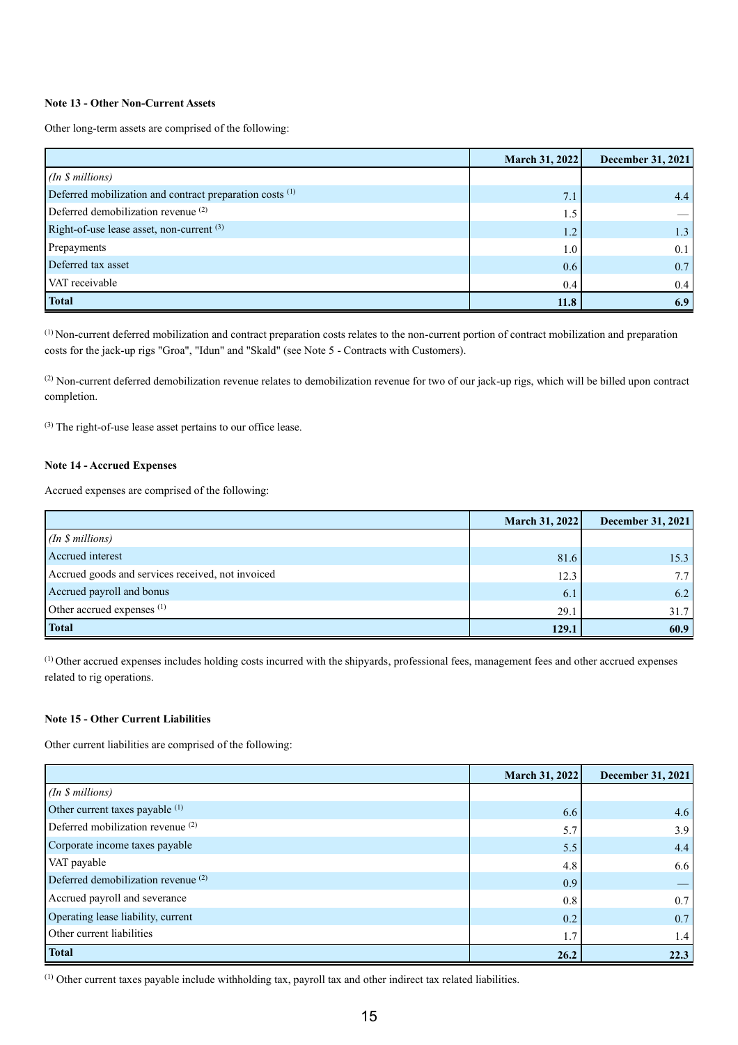## **Note 13 - Other Non-Current Assets**

Other long-term assets are comprised of the following:

|                                                          | March 31, 2022 | December 31, 2021 |
|----------------------------------------------------------|----------------|-------------------|
| (In \$ millions)                                         |                |                   |
| Deferred mobilization and contract preparation costs (1) | 7.1            | 4.4               |
| Deferred demobilization revenue <sup>(2)</sup>           | 1.5            |                   |
| Right-of-use lease asset, non-current (3)                | 1.2            | 1.3               |
| Prepayments                                              | 1.0            | 0.1               |
| Deferred tax asset                                       | 0.6            | 0.7               |
| VAT receivable                                           | 0.4            | 0.4               |
| <b>Total</b>                                             | 11.8           | 6.9               |

(1) Non-current deferred mobilization and contract preparation costs relates to the non-current portion of contract mobilization and preparation costs for the jack-up rigs "Groa", "Idun" and "Skald" (see Note 5 - Contracts with Customers).

 $^{(2)}$  Non-current deferred demobilization revenue relates to demobilization revenue for two of our jack-up rigs, which will be billed upon contract completion.

(3) The right-of-use lease asset pertains to our office lease.

## **Note 14 - Accrued Expenses**

Accrued expenses are comprised of the following:

|                                                   | <b>March 31, 2022</b> | <b>December 31, 2021</b> |
|---------------------------------------------------|-----------------------|--------------------------|
| (In \$millions)                                   |                       |                          |
| Accrued interest                                  | 81.6                  | 15.3                     |
| Accrued goods and services received, not invoiced | 12.3                  |                          |
| Accrued payroll and bonus                         | 6.1                   | 6.2                      |
| Other accrued expenses <sup>(1)</sup>             | 29.1                  | 31.7                     |
| <b>Total</b>                                      | 129.1                 | 60.9                     |

(1) Other accrued expenses includes holding costs incurred with the shipyards, professional fees, management fees and other accrued expenses related to rig operations.

## **Note 15 - Other Current Liabilities**

Other current liabilities are comprised of the following:

|                                              | March 31, 2022 | <b>December 31, 2021</b> |
|----------------------------------------------|----------------|--------------------------|
| (In \$ millions)                             |                |                          |
| Other current taxes payable (1)              | 6.6            | 4.6                      |
| Deferred mobilization revenue <sup>(2)</sup> | 5.7            | 3.9                      |
| Corporate income taxes payable               | 5.5            | 4.4                      |
| VAT payable                                  | 4.8            | 6.6                      |
| Deferred demobilization revenue (2)          | 0.9            |                          |
| Accrued payroll and severance                | 0.8            | 0.7                      |
| Operating lease liability, current           | 0.2            | 0.7                      |
| Other current liabilities                    | 1.7            | 1.4                      |
| <b>Total</b>                                 | 26.2           | 22.3                     |

(1) Other current taxes payable include withholding tax, payroll tax and other indirect tax related liabilities.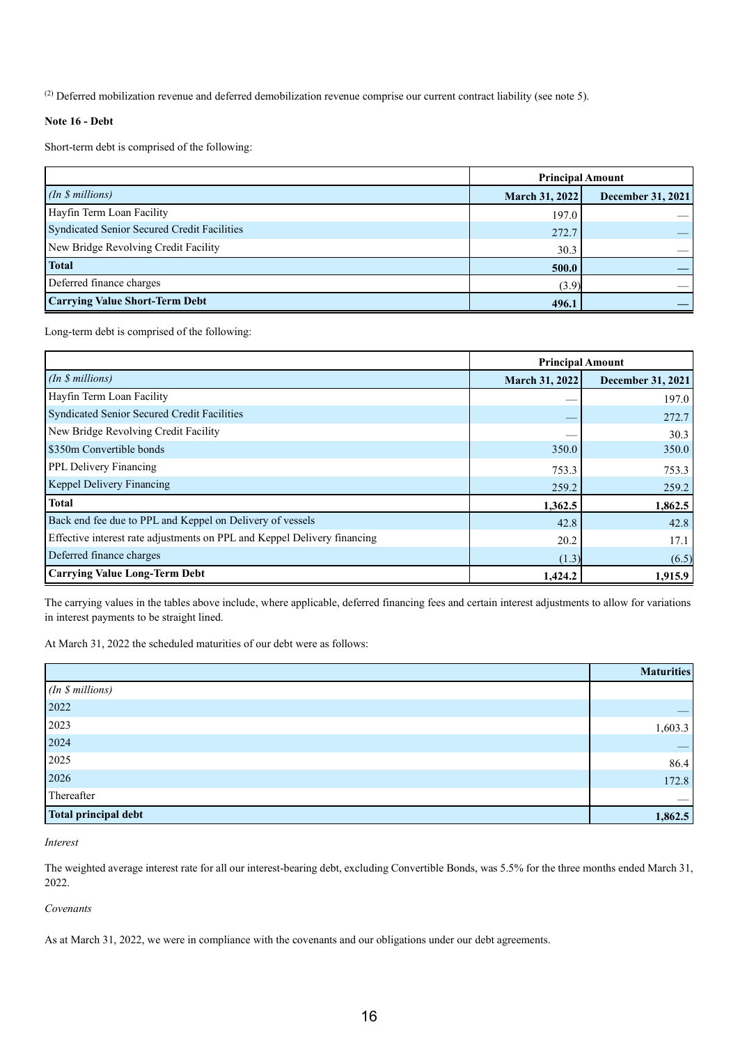<sup>(2)</sup> Deferred mobilization revenue and deferred demobilization revenue comprise our current contract liability (see note 5).

## **Note 16 - Debt**

Short-term debt is comprised of the following:

|                                             | <b>Principal Amount</b> |                   |
|---------------------------------------------|-------------------------|-------------------|
| (In \$millions)                             | March 31, 2022          | December 31, 2021 |
| Hayfin Term Loan Facility                   | 197.0                   |                   |
| Syndicated Senior Secured Credit Facilities | 272.7                   |                   |
| New Bridge Revolving Credit Facility        | 30.3                    |                   |
| <b>Total</b>                                | 500.0                   |                   |
| Deferred finance charges                    | (3.9)                   |                   |
| <b>Carrying Value Short-Term Debt</b>       | 496.1                   |                   |

Long-term debt is comprised of the following:

|                                                                          | <b>Principal Amount</b> |                          |
|--------------------------------------------------------------------------|-------------------------|--------------------------|
| (In \$millions)                                                          | March 31, 2022          | <b>December 31, 2021</b> |
| Hayfin Term Loan Facility                                                |                         | 197.0                    |
| Syndicated Senior Secured Credit Facilities                              |                         | 272.7                    |
| New Bridge Revolving Credit Facility                                     |                         | 30.3                     |
| \$350m Convertible bonds                                                 | 350.0                   | 350.0                    |
| PPL Delivery Financing                                                   | 753.3                   | 753.3                    |
| Keppel Delivery Financing                                                | 259.2                   | 259.2                    |
| <b>Total</b>                                                             | 1,362.5                 | 1,862.5                  |
| Back end fee due to PPL and Keppel on Delivery of vessels                | 42.8                    | 42.8                     |
| Effective interest rate adjustments on PPL and Keppel Delivery financing | 20.2                    | 17.1                     |
| Deferred finance charges                                                 | (1.3)                   | (6.5)                    |
| <b>Carrying Value Long-Term Debt</b>                                     | 1,424.2                 | 1,915.9                  |

The carrying values in the tables above include, where applicable, deferred financing fees and certain interest adjustments to allow for variations in interest payments to be straight lined.

At March 31, 2022 the scheduled maturities of our debt were as follows:

|                             | <b>Maturities</b> |
|-----------------------------|-------------------|
| (In \$ millions)            |                   |
| 2022                        |                   |
| 2023                        | 1,603.3           |
| 2024                        |                   |
| 2025                        | 86.4              |
| 2026                        | 172.8             |
| Thereafter                  |                   |
| <b>Total principal debt</b> | 1,862.5           |

#### *Interest*

The weighted average interest rate for all our interest-bearing debt, excluding Convertible Bonds, was 5.5% for the three months ended March 31, 2022.

## *Covenants*

As at March 31, 2022, we were in compliance with the covenants and our obligations under our debt agreements.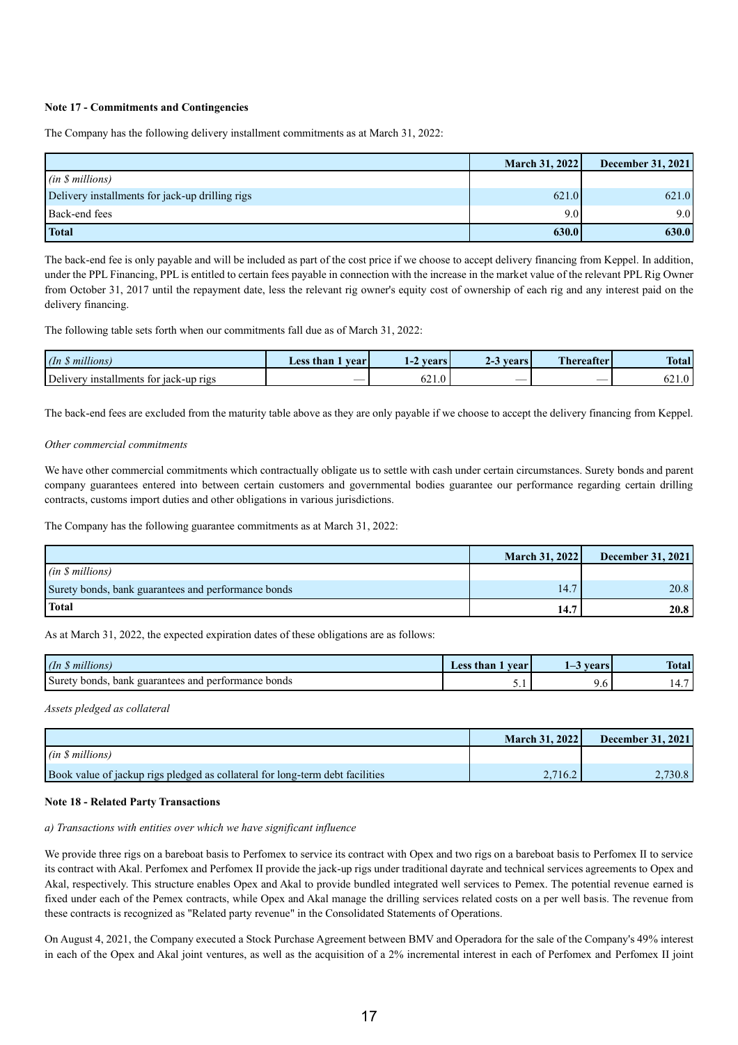## **Note 17 - Commitments and Contingencies**

The Company has the following delivery installment commitments as at March 31, 2022:

|                                                 | March 31, 2022 | <b>December 31, 2021</b> |
|-------------------------------------------------|----------------|--------------------------|
| (in \$millions)                                 |                |                          |
| Delivery installments for jack-up drilling rigs | 621.0          | 621.0                    |
| Back-end fees                                   | 9.0            | 9.0                      |
| <b>Total</b>                                    | 630.0          | 630.0                    |

The back-end fee is only payable and will be included as part of the cost price if we choose to accept delivery financing from Keppel. In addition, under the PPL Financing, PPL is entitled to certain fees payable in connection with the increase in the market value of the relevant PPL Rig Owner from October 31, 2017 until the repayment date, less the relevant rig owner's equity cost of ownership of each rig and any interest paid on the delivery financing.

The following table sets forth when our commitments fall due as of March 31, 2022:

| .11.<br>$\ln$<br>millions.                | Less than<br><b>vear</b> | <b>vears</b><br>$-4$ | <b>vears</b><br>2-3 | Thereafter | <b>Total</b>      |
|-------------------------------------------|--------------------------|----------------------|---------------------|------------|-------------------|
| Delivery<br>installments for jack-up rigs | $\sim$                   | $\sim$ 1<br>U∠ 1.U   |                     | $\sim$     | $\sim$<br>∪∠ 1. J |

The back-end fees are excluded from the maturity table above as they are only payable if we choose to accept the delivery financing from Keppel.

## *Other commercial commitments*

We have other commercial commitments which contractually obligate us to settle with cash under certain circumstances. Surety bonds and parent company guarantees entered into between certain customers and governmental bodies guarantee our performance regarding certain drilling contracts, customs import duties and other obligations in various jurisdictions.

The Company has the following guarantee commitments as at March 31, 2022:

|                                                     | <b>March 31, 2022</b> | <b>December 31, 2021</b> |
|-----------------------------------------------------|-----------------------|--------------------------|
| $(in \, \S \, millions)$                            |                       |                          |
| Surety bonds, bank guarantees and performance bonds | 14.7                  | 20.8                     |
| <b>Total</b>                                        | 14.7                  | 20.8                     |

As at March 31, 2022, the expected expiration dates of these obligations are as follows:

| $($ In<br>.77<br>millions                                                          | $\triangle$ ess <sup>+</sup><br>than<br><b>vear</b> | $T = 0.00$ | <b>CONTINUES</b><br><b>Total</b> |
|------------------------------------------------------------------------------------|-----------------------------------------------------|------------|----------------------------------|
| Surety<br><i>r</i> tormance<br>bonds<br>bonds<br>bank<br>nert<br>guarantees<br>and | <u>.</u>                                            | , v        | $\overline{\phantom{a}}$<br>. .  |

*Assets pledged as collateral*

|                                                                               | <b>March 31, 2022</b> | <b>December 31, 2021</b> |
|-------------------------------------------------------------------------------|-----------------------|--------------------------|
| (in \$millions)                                                               |                       |                          |
| Book value of jackup rigs pledged as collateral for long-term debt facilities | 2.716.2               | 2.730.8                  |

#### **Note 18 - Related Party Transactions**

#### *a) Transactions with entities over which we have significant influence*

We provide three rigs on a bareboat basis to Perfomex to service its contract with Opex and two rigs on a bareboat basis to Perfomex II to service its contract with Akal. Perfomex and Perfomex II provide the jack-up rigs under traditional dayrate and technical services agreements to Opex and Akal, respectively. This structure enables Opex and Akal to provide bundled integrated well services to Pemex. The potential revenue earned is fixed under each of the Pemex contracts, while Opex and Akal manage the drilling services related costs on a per well basis. The revenue from these contracts is recognized as "Related party revenue" in the Consolidated Statements of Operations.

On August 4, 2021, the Company executed a Stock Purchase Agreement between BMV and Operadora for the sale of the Company's 49% interest in each of the Opex and Akal joint ventures, as well as the acquisition of a 2% incremental interest in each of Perfomex and Perfomex II joint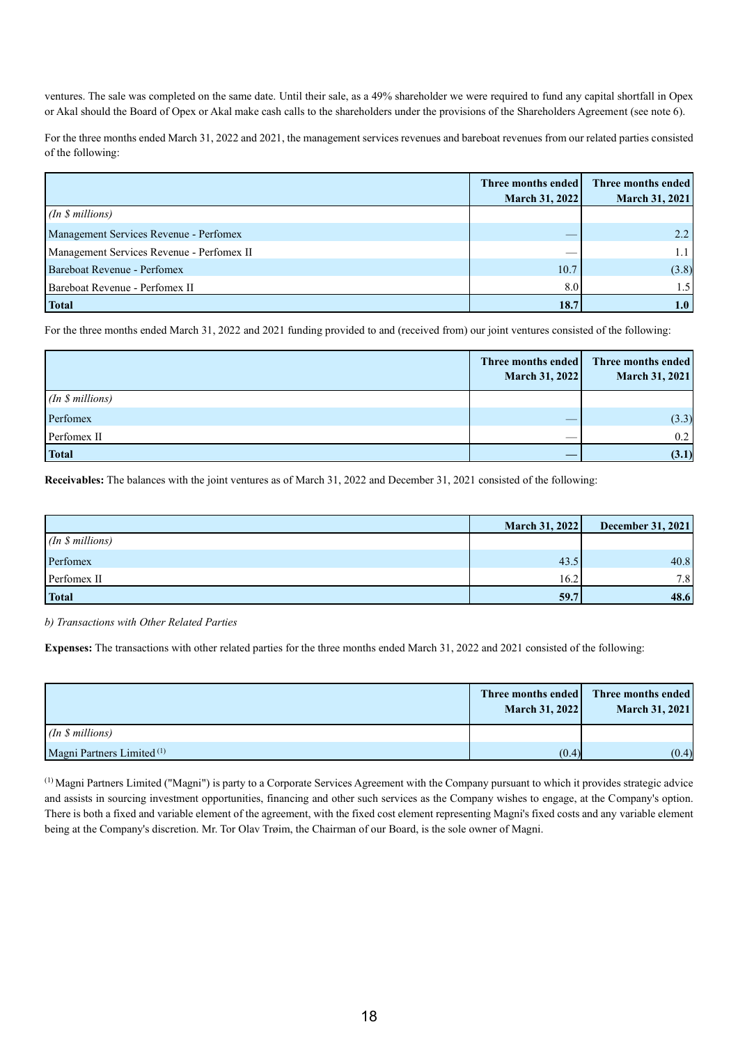ventures. The sale was completed on the same date. Until their sale, as a 49% shareholder we were required to fund any capital shortfall in Opex or Akal should the Board of Opex or Akal make cash calls to the shareholders under the provisions of the Shareholders Agreement (see note 6).

For the three months ended March 31, 2022 and 2021, the management services revenues and bareboat revenues from our related parties consisted of the following:

|                                           | Three months ended<br><b>March 31, 2022</b> | Three months ended<br>March 31, 2021 |
|-------------------------------------------|---------------------------------------------|--------------------------------------|
| $(In $s$ millions)                        |                                             |                                      |
| Management Services Revenue - Perfomex    |                                             | 2.2                                  |
| Management Services Revenue - Perfomex II |                                             | 1.1                                  |
| Bareboat Revenue - Perfomex               | 10.7                                        | (3.8)                                |
| Bareboat Revenue - Perfomex II            | 8.0                                         | 1.5                                  |
| <b>Total</b>                              | 18.7                                        | 1.0                                  |

For the three months ended March 31, 2022 and 2021 funding provided to and (received from) our joint ventures consisted of the following:

|                 | Three months ended<br>March 31, 2022 | Three months ended<br><b>March 31, 2021</b> |
|-----------------|--------------------------------------|---------------------------------------------|
| (In \$millions) |                                      |                                             |
| Perfomex        | __                                   | (3.3)                                       |
| Perfomex II     | __                                   | 0.2                                         |
| <b>Total</b>    |                                      | (3.1)                                       |

**Receivables:** The balances with the joint ventures as of March 31, 2022 and December 31, 2021 consisted of the following:

|                 | March 31, 2022 | December 31, 2021 |
|-----------------|----------------|-------------------|
| (In \$millions) |                |                   |
| Perfomex        | 43.5           | 40.8              |
| Perfomex II     | 16.2           | 7.8               |
| <b>Total</b>    | 59.7           | 48.6              |

*b) Transactions with Other Related Parties*

**Expenses:** The transactions with other related parties for the three months ended March 31, 2022 and 2021 consisted of the following:

|                                       | Three months ended<br><b>March 31, 2022</b> | Three months ended<br>March 31, 2021 |
|---------------------------------------|---------------------------------------------|--------------------------------------|
| (In \$millions)                       |                                             |                                      |
| Magni Partners Limited <sup>(1)</sup> | (0.4)                                       | (0.4)                                |

(1) Magni Partners Limited ("Magni") is party to a Corporate Services Agreement with the Company pursuant to which it provides strategic advice and assists in sourcing investment opportunities, financing and other such services as the Company wishes to engage, at the Company's option. There is both a fixed and variable element of the agreement, with the fixed cost element representing Magni's fixed costs and any variable element being at the Company's discretion. Mr. Tor Olav Trøim, the Chairman of our Board, is the sole owner of Magni.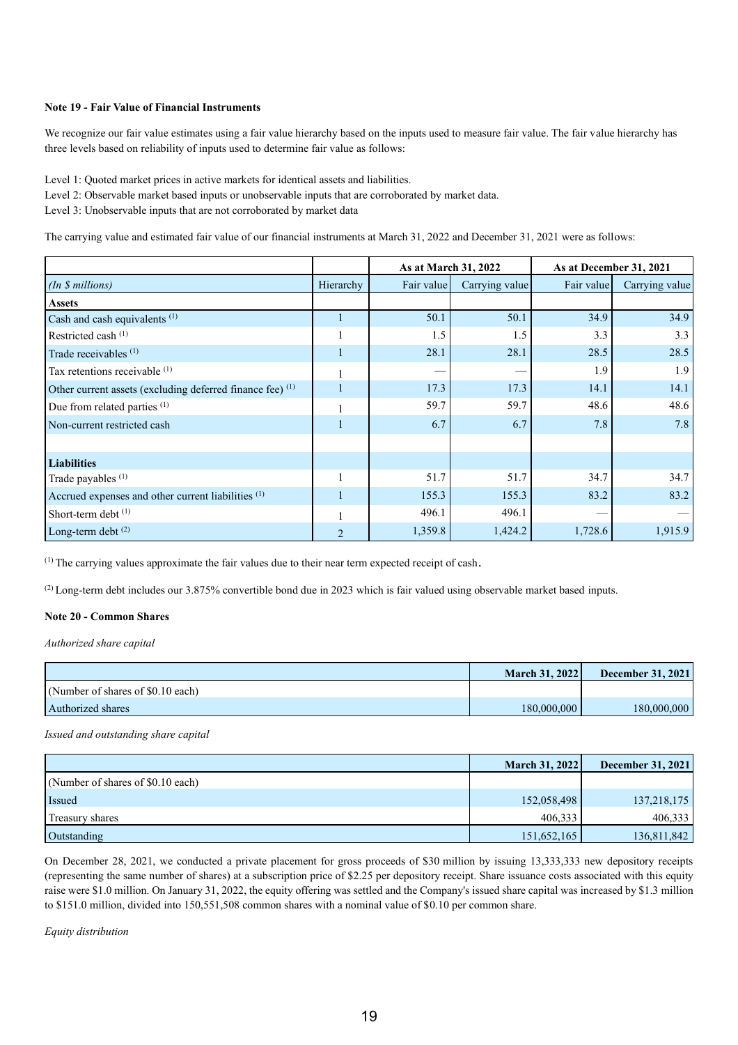## **Note 19 - Fair Value of Financial Instruments**

We recognize our fair value estimates using a fair value hierarchy based on the inputs used to measure fair value. The fair value hierarchy has three levels based on reliability of inputs used to determine fair value as follows:

Level 1: Quoted market prices in active markets for identical assets and liabilities.

Level 2: Observable market based inputs or unobservable inputs that are corroborated by market data.

Level 3: Unobservable inputs that are not corroborated by market data

The carrying value and estimated fair value of our financial instruments at March 31, 2022 and December 31, 2021 were as follows:

|                                                                      |                | As at March 31, 2022 |                | As at December 31, 2021 |                |
|----------------------------------------------------------------------|----------------|----------------------|----------------|-------------------------|----------------|
| (In \$millions)                                                      | Hierarchy      | Fair value           | Carrying value | Fair value              | Carrying value |
| <b>Assets</b>                                                        |                |                      |                |                         |                |
| Cash and cash equivalents <sup>(1)</sup>                             |                | 50.1                 | 50.1           | 34.9                    | 34.9           |
| Restricted cash (1)                                                  |                | 1.5                  | 1.5            | 3.3                     | 3.3            |
| Trade receivables $(1)$                                              |                | 28.1                 | 28.1           | 28.5                    | 28.5           |
| Tax retentions receivable (1)                                        |                |                      |                | 1.9                     | 1.9            |
| Other current assets (excluding deferred finance fee) <sup>(1)</sup> |                | 17.3                 | 17.3           | 14.1                    | 14.1           |
| Due from related parties (1)                                         |                | 59.7                 | 59.7           | 48.6                    | 48.6           |
| Non-current restricted cash                                          |                | 6.7                  | 6.7            | 7.8                     | 7.8            |
|                                                                      |                |                      |                |                         |                |
| <b>Liabilities</b>                                                   |                |                      |                |                         |                |
| Trade payables <sup>(1)</sup>                                        |                | 51.7                 | 51.7           | 34.7                    | 34.7           |
| Accrued expenses and other current liabilities <sup>(1)</sup>        |                | 155.3                | 155.3          | 83.2                    | 83.2           |
| Short-term debt <sup>(1)</sup>                                       |                | 496.1                | 496.1          |                         |                |
| Long-term debt <sup>(2)</sup>                                        | $\mathfrak{D}$ | 1,359.8              | 1,424.2        | 1,728.6                 | 1,915.9        |

(1) The carrying values approximate the fair values due to their near term expected receipt of cash.

(2) Long-term debt includes our 3.875% convertible bond due in 2023 which is fair valued using observable market based inputs.

## **Note 20 - Common Shares**

*Authorized share capital*

|                                   | <b>March 31, 2022</b> | <b>December 31, 2021</b> |
|-----------------------------------|-----------------------|--------------------------|
| (Number of shares of \$0.10 each) |                       |                          |
| Authorized shares                 | 180.000.000           | 180.000.000              |

*Issued and outstanding share capital*

|                                   | March 31, 2022 | December 31, 2021 |
|-----------------------------------|----------------|-------------------|
| (Number of shares of \$0.10 each) |                |                   |
| Issued                            | 152,058,498    | 137, 218, 175     |
| Treasury shares                   | 406,333        | 406,333           |
| Outstanding                       | 151,652,165    | 136,811,842       |

On December 28, 2021, we conducted a private placement for gross proceeds of \$30 million by issuing 13,333,333 new depository receipts (representing the same number of shares) at a subscription price of \$2.25 per depository receipt. Share issuance costs associated with this equity raise were \$1.0 million. On January 31, 2022, the equity offering was settled and the Company's issued share capital was increased by \$1.3 million to \$151.0 million, divided into 150,551,508 common shares with a nominal value of \$0.10 per common share.

*Equity distribution*